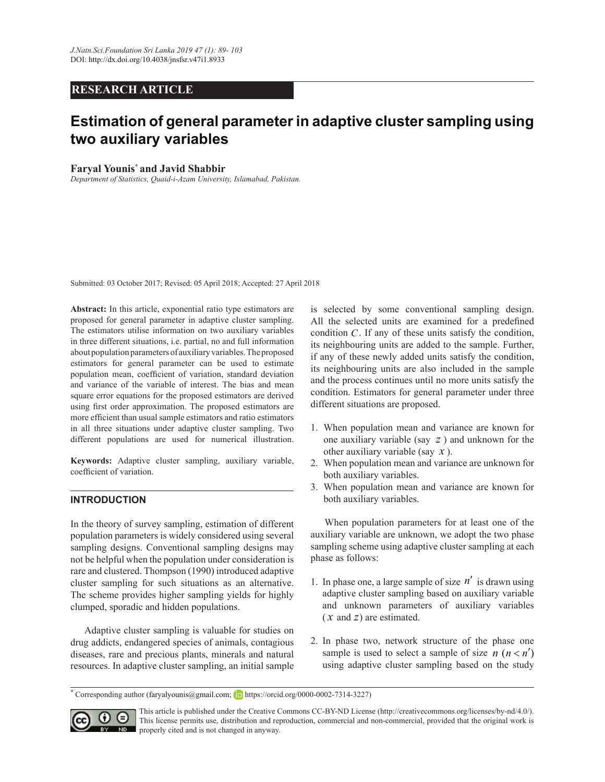## **RESEARCH ARTICLE**

# **Estimation of general parameter in adaptive cluster sampling using** two auxiliary variables

#### **Faryal Younis<sup>\*</sup> and Javid Shabbir**

*Department of Statistics, Quaid-i-Azam University, Islamabad, Pakistan.*

Submitted: 03 October 2017; Revised: 05 April 2018; Accepted: 27 April 2018

Abstract: In this article, exponential ratio type estimators are proposed for general parameter in adaptive cluster sampling. The estimators utilise information on two auxiliary variables in three different situations, i.e. partial, no and full information about population parameters of auxiliary variables. The proposed estimators for general parameter can be used to estimate population mean, coefficient of variation, standard deviation and variance of the variable of interest. The bias and mean square error equations for the proposed estimators are derived using first order approximation. The proposed estimators are more efficient than usual sample estimators and ratio estimators in all three situations under adaptive cluster sampling. Two different populations are used for numerical illustration.

Keywords: Adaptive cluster sampling, auxiliary variable, coefficient of variation.

## **INTRODUCTION**

In the theory of survey sampling, estimation of different population parameters is widely considered using several sampling designs. Conventional sampling designs may not be helpful when the population under consideration is rare and clustered. Thompson (1990) introduced adaptive cluster sampling for such situations as an alternative. The scheme provides higher sampling yields for highly clumped, sporadic and hidden populations.

 Adaptive cluster sampling is valuable for studies on drug addicts, endangered species of animals, contagious diseases, rare and precious plants, minerals and natural resources. In adaptive cluster sampling, an initial sample is selected by some conventional sampling design. All the selected units are examined for a predefined condition  $C$ . If any of these units satisfy the condition, its neighbouring units are added to the sample. Further, if any of these newly added units satisfy the condition, its neighbouring units are also included in the sample and the process continues until no more units satisfy the condition. Estimators for general parameter under three different situations are proposed.

- 1. When population mean and variance are known for one auxiliary variable (say *z* ) and unknown for the other auxiliary variable (say *x* ).
- 2. When population mean and variance are unknown for both auxiliary variables.
- 3. When population mean and variance are known for both auxiliary variables.

When population parameters for at least one of the auxiliary variable are unknown, we adopt the two phase sampling scheme using adaptive cluster sampling at each phase as follows:

- 1. In phase one, a large sample of size  $n'$  is drawn using adaptive cluster sampling based on auxiliary variable and unknown parameters of auxiliary variables ( *x* and *z*) are estimated.
- 2. In phase two, network structure of the phase one sample is used to select a sample of size  $n (n < n)$ using adaptive cluster sampling based on the study

<sup>&</sup>lt;sup>\*</sup> Corresponding author (faryalyounis@gmail.com; **iD** https://orcid.org/0000-0002-7314-3227)



This article is published under the Creative Commons CC-BY-ND License (http://creativecommons.org/licenses/by-nd/4.0/). This license permits use, distribution and reproduction, commercial and non-commercial, provided that the original work is **NO** properly cited and is not changed in anyway.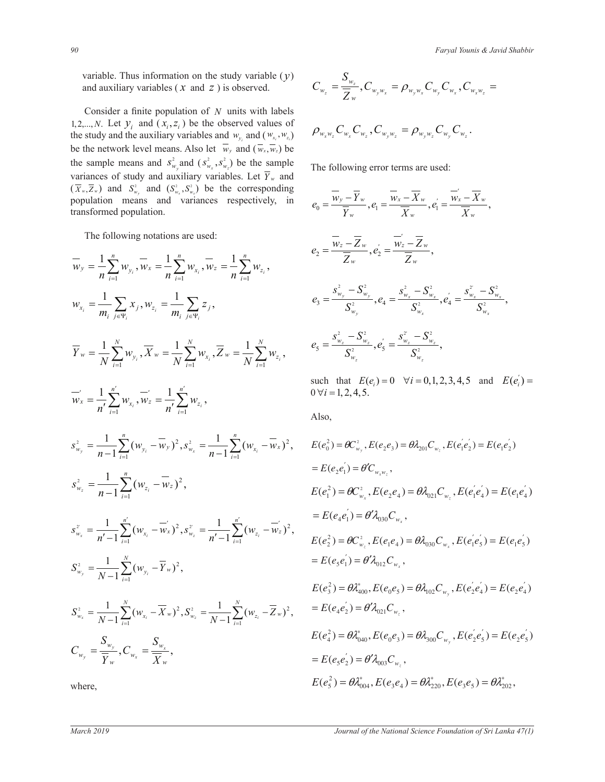variable. Thus information on the study variable  $(y)$ and auxiliary variables (*x* and *z*) is observed.  $C_{w_z} = \frac{w_z}{\overline{Z}_{w_z}}$ ,  $C_{w_y}$ 

Consider a finite population of  $N$  units with labels 1,2,..., *N*. Let  $y_i$  and  $(x_i, z_i)$  be the observed values of  $\qquad \qquad Q \qquad C \qquad C$ the study and the auxiliary variables and  $w_{y_i}$  and  $(w_{x_i}, w_{z_i})$   $\rho_{w_x w_z} C_{w_x} C_{w_z}$ ,  $C_{w_y w_z} = \rho_{w_y w_z} C_{w_y} C_{w_z}$ . be the network level means. Also let  $w_y$  and  $(\overline{w_x}, \overline{w_z})$  be the sample means and  $s_{w_y}^2$  and  $(s_{w_x}^2, s_{w_z}^2)$  be the sample variances of study and auxiliary variables. Let  $\overline{Y}_w$  and variances or study and auxiliary variables. Let  $Y_w$  and  $(\overline{X}_w, \overline{Z}_w)$  and  $S_w^2$  and  $(S_w^2, S_w^2)$  be the corresponding  $\overline{X}_w$ population means and variances respectively, in transformed population.

The following notations are used:

$$
\overline{w}_{y} = \frac{1}{n} \sum_{i=1}^{n} w_{y_{i}}, \overline{w}_{x} = \frac{1}{n} \sum_{i=1}^{n} w_{x_{i}}, \overline{w}_{z} = \frac{1}{n} \sum_{i=1}^{n} w_{z_{i}},
$$
\n
$$
w_{x_{i}} = \frac{1}{m_{i}} \sum_{j \in \mathbb{N}} x_{j}, w_{z_{i}} = \frac{1}{m_{i}} \sum_{j \in \mathbb{N}} z_{j},
$$
\n
$$
\overline{y}_{w} = \frac{1}{N} \sum_{j=1}^{N} w_{y_{j}}, \overline{X}_{w} = \frac{1}{N} \sum_{i=1}^{N} w_{x_{i}}, \overline{Z}_{w} = \frac{1}{N} \sum_{i=1}^{N} w_{z_{i}},
$$
\n
$$
\overline{y}_{w} = \frac{1}{n} \sum_{i=1}^{N} w_{y_{i}}, \overline{X}_{w} = \frac{1}{n} \sum_{i=1}^{N} w_{x_{i}}, \overline{Z}_{w} = \frac{1}{N} \sum_{i=1}^{N} w_{z_{i}},
$$
\n
$$
\overline{y}_{w} = \frac{1}{n} \sum_{i=1}^{n} w_{x_{i}}, \overline{w}_{z} = \frac{1}{n} \sum_{i=1}^{n} w_{z_{i}},
$$
\n
$$
\text{such that } E(e_{i}) = 0 \quad \forall i = 1, 2, 4, 5.
$$
\n
$$
S_{w_{i}}^{2} = \frac{1}{n-1} \sum_{i=1}^{n} (w_{y_{i}} - \overline{w}_{y})^{2}, S_{w_{i}}^{2} = \frac{1}{n-1} \sum_{i=1}^{n} (w_{z_{i}} - \overline{w}_{x})^{2},
$$
\n
$$
E(e_{u}^{2}) = \theta C_{w_{u}}, E(e_{2}e_{3}) = \theta A_{20}, C_{w_{u}}, E(e_{2}e_{3}) = E(e_{1}e_{2})
$$
\n
$$
S_{w_{u}}^{2} = \frac{1}{n-1} \sum_{i=1}^{n} (w_{x_{i}} - \overline{w}_{x})^{2},
$$
\n
$$
S_{w_{u}}^{2} = \frac{1}{n-1} \sum_{i=
$$

where,

$$
C_{w_z} = \frac{S_{w_z}}{\overline{Z}_w}, C_{w_y w_x} = \rho_{w_y w_x} C_{w_y} C_{w_x}, C_{w_x w_z} =
$$

$$
\rho_{w_{x}w_{z}}C_{w_{x}}C_{w_{z}}, C_{w_{y}w_{z}} = \rho_{w_{y}w_{z}}C_{w_{y}}C_{w_{z}}.
$$

The following error terms are used:

variances respectively, in  
\nvariances respectively, in  
\n
$$
e_0 = \frac{\overline{w}_y - \overline{Y}_w}{\overline{Y}_w}, e_1 = \frac{\overline{w}_x - \overline{X}_w}{\overline{X}_w}, e_1' = \frac{\overline{w}_x - \overline{X}_w}{\overline{X}_w},
$$
\ns are used:  
\n
$$
e_2 = \frac{\overline{w}_z - \overline{Z}_w}{\overline{Z}_w}, e_2' = \frac{\overline{w}_z - \overline{Z}_w}{\overline{Z}_w},
$$
\n
$$
e_2' = \frac{\overline{w}_z - \overline{Z}_w}{\overline{Z}_w}, e_2' = \frac{\overline{w}_z - \overline{Z}_w}{\overline{Z}_w},
$$
\n
$$
e_3 = \frac{s_{w_y}^2 - S_{w_y}^2}{S_{w_y}^2}, e_4 = \frac{s_{w_x}^2 - S_{w_x}^2}{S_{w_x}^2}, e_4' = \frac{s_{w_x}^2 - S_{w_x}^2}{S_{w_x}^2},
$$
\n
$$
\frac{1}{S_{w_x}^2} \sum_{v} w_{x_i}, \overline{Z}_w = \frac{1}{N} \sum_{v=1}^N w_{z_i}, \qquad e_5 = \frac{s_{w_z}^2 - S_{w_z}^2}{S_{w_z}^2}, e_5' = \frac{s_{w_z}^2 - S_{w_z}^2}{S_{w_z}^2},
$$

 $\sqrt{2}$ 

$$
E(e_{0}^{2}) = \partial \mathcal{L}_{w_{x}} E(e_{1}^{2}) = \partial \mathcal{L}_{w_{x}} E(e_{1}^{2}) = E(e_{1}e_{2}^{2})
$$
\n
$$
= E(e_{2}e_{1}^{2}) = \partial C_{w_{x}w_{z}}^{2}, E(e_{2}e_{3}) = \partial \lambda_{201}C_{w_{z}}, E(e_{1}e_{2}^{2}) = E(e_{1}e_{2}^{2})
$$
\n
$$
= E(e_{2}e_{1}^{2}) = \partial C_{w_{x}w_{z}}^{2}, E(e_{2}e_{4}) = \partial \lambda_{021}C_{w_{z}}, E(e_{1}e_{4}^{2}) = E(e_{1}e_{4}^{2})
$$
\n
$$
= E(e_{4}e_{1}^{2}) = \partial \lambda_{030}C_{w_{x}},
$$
\n
$$
= E(e_{4}e_{1}^{2}) = \partial \lambda_{030}C_{w_{x}},
$$
\n
$$
E(e_{2}^{2}) = \partial C_{w_{z}}^{2}, E(e_{1}e_{4}) = \partial \lambda_{030}C_{w_{x}}, E(e_{1}e_{5}) = E(e_{1}e_{5}^{2})
$$
\n
$$
= E(e_{5}e_{1}^{2}) = \partial \lambda_{012}C_{w_{x}},
$$
\n
$$
E(e_{3}^{2}) = \partial \lambda_{012}^{*}C_{w_{x}},
$$
\n
$$
E(e_{2}^{2}) = \partial \lambda_{102}^{*}C_{w_{x}}, E(e_{2}e_{4}^{2}) = E(e_{2}e_{4}^{2})
$$
\n
$$
= E(e_{4}e_{2}^{2}) = \partial \lambda_{021}C_{w_{z}},
$$
\n
$$
E(e_{4}^{2}) = \partial \lambda_{040}^{*}, E(e_{0}e_{3}) = \partial \lambda_{300}C_{w_{y}}, E(e_{2}e_{5}^{2}) = E(e_{2}e_{5}^{2})
$$
\n
$$
= E(e_{5}e_{2}^{2}) = \partial \lambda_{003}^{*}C_{w_{z}},
$$
\n
$$
E(e_{5}^{2}) = \partial \lambda_{003}^{*}C_{w_{z}},
$$
\n
$$
E(e_{5}^{2}) = \partial \lambda_{00
$$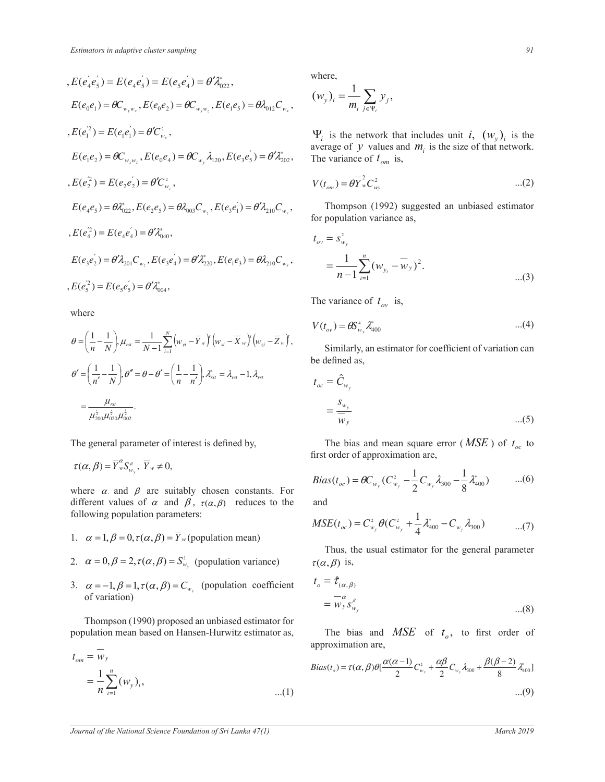$$
E(e_{4}^{'}e_{5}^{'})=E(e_{4}e_{5}^{'})=E(e_{5}e_{4}^{'})=\theta^{\prime}\lambda_{022}^{*},
$$
\n
$$
E(e_{0}e_{1})=\theta C_{w_{y}w_{x}}, E(e_{0}e_{2})=\theta C_{w_{y}w_{z}}, E(e_{1}e_{5})=\theta\lambda_{012}C_{w_{x}},
$$
\n
$$
E(e_{1}^{2})=E(e_{1}e_{1}^{'})=\theta^{\prime}C_{w_{x}}^{2},
$$
\n
$$
E(e_{1}e_{2})=\theta C_{w_{x}w_{z}}, E(e_{0}e_{4})=\theta C_{w_{y}}\lambda_{120}, E(e_{3}e_{5}^{'})=\theta^{\prime}\lambda_{202}^{*},
$$
\n
$$
E(e_{2}^{'})=E(e_{2}e_{2}^{'})=\theta^{\prime}C_{w_{z}}^{2},
$$
\n
$$
E(e_{4}e_{5})=\theta\lambda_{022}^{*}, E(e_{2}e_{5})=\theta\lambda_{003}C_{w_{z}}, E(e_{3}e_{1}^{'})=\theta^{\prime}\lambda_{210}C_{w_{x}},
$$
\n
$$
E(e_{4}^{2})=E(e_{4}e_{4}^{'})=\theta^{\prime}\lambda_{040}^{*},
$$
\n
$$
E(e_{3}e_{2}^{'})=\theta^{\prime}\lambda_{201}C_{w_{z}}, E(e_{3}e_{4}^{'})=\theta^{\prime}\lambda_{220}^{*}, E(e_{1}e_{3})=\theta\lambda_{210}C_{w_{x}},
$$
\n
$$
E(e_{5}^{2})=E(e_{5}e_{5}^{'})=\theta^{\prime}\lambda_{004}^{*},
$$

where where  $\blacksquare$  where where

$$
\begin{split} \theta &= \left(\frac{1}{n} - \frac{1}{N}\right), \mu_{\scriptscriptstyle rs\scriptscriptstyle I} = \frac{1}{N-1} \sum_{\scriptscriptstyle i=1}^N \left(w_{\scriptscriptstyle yi} - \overline{Y}_{\scriptscriptstyle w}\right)^r \left(w_{\scriptscriptstyle xi} - \overline{X}_{\scriptscriptstyle w}\right)^s \left(w_{\scriptscriptstyle zi} - \overline{Z}_{\scriptscriptstyle w}\right), \\ \theta' &= \left(\frac{1}{n'} - \frac{1}{N}\right), \theta'' = \theta - \theta' = \left(\frac{1}{n} - \frac{1}{n'}\right), \lambda_{\scriptscriptstyle rs\scriptscriptstyle I}^* = \lambda_{\scriptscriptstyle rs\scriptscriptstyle I} - 1, \lambda_{\scriptscriptstyle rs\scriptscriptstyle I} \\ &= \frac{\mu_{\scriptscriptstyle rs\scriptscriptstyle I}}{\mu_{\scriptscriptstyle 200}^{\frac{t}{2}} \mu_{002}^{\frac{t}{2}} \mu_{002}^{\frac{t}{2}}}. \end{split}
$$

της general parameter  $\frac{1}{2}$ The general parameter of interest is defined by,

$$
\tau(\alpha,\beta)=\overline{Y}_{w}^{\alpha}S_{w_{y}}^{\beta},\ \overline{Y}_{w}\neq 0,
$$

 $\mathbf{c}$ where  $\alpha$  and  $\beta$  are suitably chosen constants. For following population parameters: different values of  $\alpha$  and  $\beta$ ,  $\tau(\alpha, \beta)$  reduces to the

- 1.  $\alpha = 1, \beta = 0, \tau(\alpha, \beta) = \overline{Y}_{w}$  (population mean)
- 2.  $\alpha = 0, \beta = 2, \tau(\alpha, \beta) = S_{w_y}^2$  (population variance)
- 3.  $\alpha = -1, \beta = 1, \tau(\alpha, \beta) = C_{w_y}$  (population coefficient of variation)

 Thompson (1990) proposed an unbiased estimator for population mean based on Hansen-Hurwitz estimator as,

$$
t_{om} = \overline{w}_{y}
$$
  
=  $\frac{1}{n} \sum_{i=1}^{n} (w_{y})_{i}$ , ...(1)

where,

$$
(w_y)_i = \frac{1}{m_i} \sum_{j \in \Psi_i} y_j,
$$

 $\Psi_i$  is the network that includes unit *i*,  $(w_y)_i$  is the average of *v* values and *m* is the size of that network. average of *y* values and  $m_i$  is the size of that network.  $E(e_3e_5) = \theta \lambda_{202}^*$ , The variance of  $t_{om}$  is,

$$
V(t_{om}) = \theta \overline{Y}_{w}^{2} C_{wy}^{2} \qquad \qquad \dots (2)
$$

 Thompson (1992) suggested an unbiased estimator for population variance as,

$$
t_{ov} = s_{w_y}^2
$$
  
=  $\frac{1}{n-1} \sum_{i=1}^n (w_{y_i} - \overline{w}_y)^2$ . ...(3)

The variance of  $t_{ov}$  is,

$$
V(t_{ov}) = \mathcal{B}S_{w_y}^4 \lambda_{400}^* \tag{4}
$$

Similarly, an estimator for coefficient of variation can be defined as.

$$
t_{oc} = \hat{C}_{w_y}
$$
  
= 
$$
\frac{s_{w_y}}{\overline{w}_y}
$$
...(5)

The bias and mean square error (*MSE*) of  $t_{oc}$  to first order of approximation are,

$$
Bias(t_{oc}) = \theta C_{w_y} (C_{w_y}^2 - \frac{1}{2} C_{w_y} \lambda_{300} - \frac{1}{8} \lambda_{400}^*) \qquad ...(6)
$$

and

$$
MSE(t_{oc}) = C_{w_y}^2 \theta(C_{w_y}^2 + \frac{1}{4} \lambda_{400}^* - C_{w_y} \lambda_{300}) \qquad \qquad ...(7)
$$

Thus, the usual estimator for the general parameter  $\tau(\alpha, \beta)$  is,

$$
t_o = \hat{\tau}_{(\alpha,\beta)}
$$
  
=  $\frac{-\alpha}{W_y} s_{w_y}^{\beta}$  ...(8)

estimator is:<br>
the bias and  $MSE$  of  $t_o$ , to first order of approximation are,

$$
Bias(t_o) = \tau(\alpha, \beta)\theta[\frac{\alpha(\alpha - 1)}{2}C_{w_y}^2 + \frac{\alpha\beta}{2}C_{w_y}\lambda_{300} + \frac{\beta(\beta - 2)}{8}\lambda_{400}^2]
$$
...(9)

4

4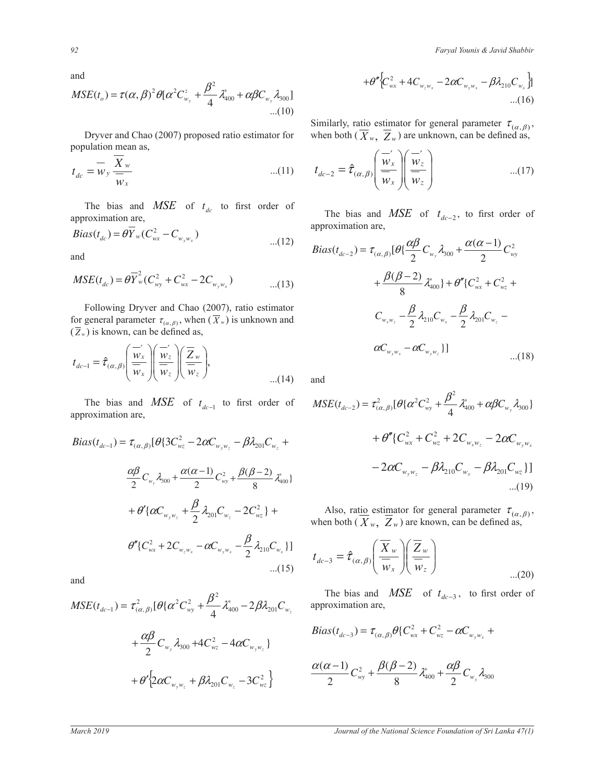*Faryal Younis & Javid Shabbir Faryal Younis & Javid Shabbir* 

and

$$
MSE(t_o) = \tau(\alpha, \beta)^2 \theta [\alpha^2 C_{w_y}^2 + \frac{\beta^2}{4} \lambda_{400}^* + \alpha \beta C_{w_y} \lambda_{300}]
$$
  
...(10)

 Dryver and Chao (2007) proposed ratio estimator for population mean as,

$$
t_{dc} = \overline{w}_y \frac{X_w}{\overline{w}_x} \qquad ...(11)
$$

The bias and  $MSE$  of  $t_{dc}$  to first order of approximation are,

$$
Bias(t_{dc}) = \theta \overline{Y}_{w}(C_{wx}^{2} - C_{w_{y}w_{x}})
$$
...(12)

and

$$
MSE(t_{dc}) = \theta \overline{Y}_{w}^{2} (C_{wy}^{2} + C_{wx}^{2} - 2C_{w_{y}w_{x}})
$$
...(13)

Following Dryver and Chao (2007), ratio estimator for general parameter  $\tau_{(\alpha,\beta)}$ , when  $(\overline{X}_w)$  is unknown and  $(\overline{Z}_w)$  is known, can be defined as,

$$
t_{dc-1} = \hat{\tau}_{(\alpha,\beta)} \left( \frac{\overline{w}_x'}{\overline{w}_x} \right) \left( \frac{\overline{w}_z'}{\overline{w}_z} \right) \left( \frac{\overline{Z}_w}{\overline{w}_z} \right), \tag{14}
$$

'E  $MSE$ approximation are,  $\frac{1}{2}$  $\frac{1}{2}$ a<br>∷ ¨ ונ<br>^  $\ddot{\cdot}$ ¨ ।<br>न to first order of The bias and  $MSE$  of  $t_{dc-1}$  to first order of

$$
Bias(t_{dc-1}) = \tau_{(\alpha,\beta)}[\theta \{ 3C_{w_z}^2 - 2\alpha C_{w_y w_z} - \beta \lambda_{201} C_{w_z} + \frac{\alpha \beta}{2} C_{w_y} \lambda_{300} + \frac{\alpha (\alpha - 1)}{2} C_{w_y}^2 + \frac{\beta (\beta - 2)}{8} \lambda_{400}^* \}
$$

$$
+ \theta' {\{\alpha C_{w_y w_z} + \frac{\beta}{2} \lambda_{201} C_{w_z} - 2C_{w_z}^2 \}} + \theta'' {\{ C_{w_x}^2 + 2C_{w_z w_x} - \alpha C_{w_y w_x} - \frac{\beta}{2} \lambda_{210} C_{w_x} \}}]
$$

and

$$
MSE(t_{dc-1}) = \tau_{(\alpha,\beta)}^2 [\theta {\alpha^2 C_{wy}^2} + \frac{\beta^2}{4} \lambda_{400}^* - 2\beta \lambda_{201} C_{w_z} \text{ approximation at } \alpha_{201}^2 + \frac{\alpha \beta}{2} C_{w_y} \lambda_{300} + 4C_{w_z}^2 - 4\alpha C_{w_y w_z}]
$$
  
+  $\theta' {2\alpha C_{w_y w_z} + \beta \lambda_{201} C_{w_z} - 3C_{w_z}^2}$   $\frac{\alpha(\alpha - 1)}{2} C_{wy}^2 + \frac{\alpha(\alpha - 1)}{2} C_{wy}^2 + \frac{\alpha(\alpha - 1)}{2} C_{wy}^2 + \frac{\alpha(\alpha - 1)}{2} C_{wy}^2 + \frac{\alpha(\alpha - 1)}{2} C_{wy}^2 + \frac{\alpha(\alpha - 1)}{2} C_{wy}^2 + \frac{\alpha(\alpha - 1)}{2} C_{wy}^2 + \frac{\alpha(\alpha - 1)}{2} C_{wy}^2 + \frac{\alpha(\alpha - 1)}{2} C_{wy}^2 + \frac{\alpha(\alpha - 1)}{2} C_{wy}^2 + \frac{\alpha(\alpha - 1)}{2} C_{wy}^2 + \frac{\alpha(\alpha - 1)}{2} C_{wy}^2]$ 

$$
+\theta''\Big\{C_{wx}^2+4C_{w_zw_x}-2\alpha C_{w_yw_x}-\beta\lambda_{210}C_{w_x}\Big\}\Big\}\n\dots(16)
$$

 $\frac{1}{2}$  $\overline{\mathfrak{c}}$ Similarly, ratio estimator for general parameter  $\tau_{(\alpha,\beta)}$ , when both  $(X_w, Z_w)$  are unknown, can be defined as,

$$
t_{dc-2} = \hat{\tau}_{(\alpha,\beta)} \left( \frac{\overline{w}_x'}{\overline{w}_x} \right) \left( \frac{\overline{w}_z'}{\overline{w}_z} \right) \qquad \qquad \dots (17)
$$

tior approximation are, of The bias and *MSE* of  $t_{dc-2}$ , to first order or ¨  $\mathbf{I}$ .<br>r bias and *MSE* of  $t_{dc-2}$ , to first order of particle order

...(12)  
\n
$$
Bias(t_{dc-2}) = \tau_{(\alpha,\beta)}[\theta\{\frac{\alpha\beta}{2}C_{w_y}\lambda_{300} + \frac{\alpha(\alpha-1)}{2}C_{w_y}^2 + \frac{\beta(\beta-2)}{8}\lambda_{400}^2\} + \theta''\{C_{wx}^2 + C_{wz}^2 + \frac{\beta}{2}\lambda_{210}C_{w_x} - \frac{\beta}{2}\lambda_{210}C_{w_x} - \frac{\beta}{2}\lambda_{201}C_{w_z} - \frac{\alpha C_{w_yw_z} - \alpha C_{w_yw_z}}]\n...(18)
$$

 $and$ 

 $\sim$ 

·

§ ·

§

$$
MSE(t_{dc-2}) = \tau_{(\alpha,\beta)}^2 [\theta \{\alpha^2 C_{wy}^2 + \frac{\beta^2}{4} \lambda_{400}^* + \alpha \beta C_{w_y} \lambda_{300}\}\n+ \theta'' \{C_{wx}^2 + C_{w_z}^2 + 2C_{w_x w_z} - 2\alpha C_{w_y w_x}\n- 2\alpha C_{w_y w_z} - \beta \lambda_{210} C_{w_x} - \beta \lambda_{201} C_{w_z}\}\n- (19)
$$

 $\frac{1}{\sqrt{2\pi}}$ ϳ  $\beta$  $\overline{a}$ ¸ ¸ .,<br>S, te © u<br>a <u>u</u> · ¨ ¨ © .<br>11 ¸ ¸ · ่<br>เ  $\overline{a}$ § c) ¨ ¨ § l<br>e Also, ratio estimator for general parameter  $\tau_{(\alpha,\beta)}$ , when both  $(\overline{X}_w, \overline{Z}_w)$  are known, can be defined as, when both  $(X_w, Z_w)$  are known, can be defined as,

$$
t_{dc-3} = \hat{\tau}_{(\alpha,\beta)} \left( \frac{\overline{X}_w}{\overline{w}_x} \right) \left( \frac{\overline{Z}_w}{\overline{w}_z} \right) \tag{20}
$$

 $dc - 3$ ։<br>«J»  $\frac{1}{\sqrt{2}}$ The bias and *MSE* of  $t_{dc-3}$ , to first order of approximation are approximation are, ¸ ¸ · ¨ ¨ §  $t_{dc-3}$ , to first order of

$$
Bias(t_{dc-3}) = \tau_{(\alpha,\beta)} \theta \{ C_{wx}^2 + C_{wz}^2 - \alpha C_{w_y w_x} + C_{w_z w_x}^2 \}
$$

$$
\frac{\alpha(\alpha-1)}{2}C_{_{\rm wy}}^2+\frac{\beta(\beta-2)}{8}\lambda_{400}^*+\frac{\alpha\beta}{2}C_{_{\rm w_{y}}}\lambda_{300}
$$

¨  $\overline{\phantom{a}}$ 

¨

¹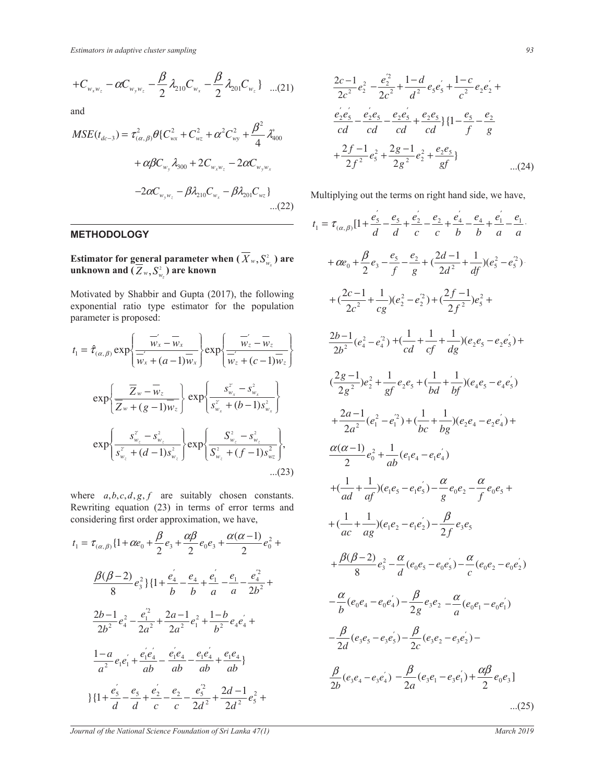$$
+C_{w_xw_z}-\alpha C_{w_yw_z}-\frac{\beta}{2}\lambda_{210}C_{w_x}-\frac{\beta}{2}\lambda_{201}C_{w_z}\}\quad ...(21)
$$

and

$$
MSE(t_{dc-3}) = \tau_{(\alpha,\beta)}^2 \theta \{ C_{wx}^2 + C_{wz}^2 + \alpha^2 C_{wy}^2 + \frac{\beta^2}{4} \lambda_{400}^* + \alpha \beta C_{w_y} \lambda_{300} + 2C_{w_x w_z} - 2\alpha C_{w_y w_x} -2\alpha C_{w_y w_z} - \beta \lambda_{20} C_{w_z} - \beta \lambda_{20} C_{w_z} \}
$$
...(22)

## **METHODOLOGY**

**Estimator for general parameter when**  $(X_w, S_{w_x}^2)$  are  $\bf{unknown}$  and  $(\mathcal{Z}_w, \mathcal{S}_{w_z}^2)$  are known

Motivated by Shabbir and Gupta (2017), the following exponential ratio type estimator for the population parameter is proposed:

$$
t_{1} = \hat{\tau}_{(\alpha,\beta)} \exp\left\{\frac{\overline{w}_{x} - \overline{w}_{x}}{\overline{w}_{x} + (a-1)\overline{w}_{x}}\right\} \exp\left\{\frac{\overline{w}_{z} - \overline{w}_{z}}{\overline{w}_{z} + (c-1)\overline{w}_{z}}\right\} \qquad \frac{2b-1}{2b^{2}} (e_{4}^{2} - e_{4}^{2}) + \left(\frac{1}{cd} + \frac{1}{cf}\right)
$$
  
\n
$$
\exp\left\{\frac{\overline{Z}_{w} - \overline{w}_{z}}{\overline{Z}_{w} + (g-1)\overline{w}_{z}}\right\} \exp\left\{\frac{s_{w_{x}}^{2} - s_{w_{x}}^{2}}{s_{w_{x}}^{2} + (b-1)s_{w_{x}}^{2}}\right\} \qquad \frac{\left(\frac{2g-1}{2g^{2}}\right)e_{2}^{2} + \frac{1}{gf}e_{2}e_{5} + \left(\frac{1}{b}\right)e_{5}e_{5} + \left(\frac{1}{b}\right)e_{5}e_{5} + \left(\frac{1}{b}\right)e_{5}e_{5} + \left(\frac{1}{b}\right)e_{5}e_{5} + \left(\frac{1}{b}\right)e_{5}e_{5} + \left(\frac{1}{b}\right)e_{5}e_{5} + \left(\frac{1}{b}\right)e_{5}e_{5} + \left(\frac{1}{b}\right)e_{5}e_{5} + \left(\frac{1}{b}\right)e_{5}e_{5} + \left(\frac{1}{b}\right)e_{5}e_{5} + \left(\frac{1}{b}\right)e_{5}e_{5} + \left(\frac{1}{b}\right)e_{5}e_{5} + \left(\frac{1}{b}\right)e_{5} + \left(\frac{1}{b}\right)e_{5} + \left(\frac{1}{b}\right)e_{5} + \left(\frac{1}{b}\right)e_{5} + \left(\frac{1}{b}\right)e_{5} + \left(\frac{1}{b}\right)e_{5} + \left(\frac{1}{b}\right)e_{5} + \left(\frac{1}{b}\right)e_{5} + \left(\frac{1}{b}\right)e_{5} + \left(\frac{1}{b}\right)e_{5} + \left(\frac{1}{b}\right)e_{5} + \left(\frac{1}{b}\right)e_{5} + \left(\frac{1}{b}\right)e_{5} + \left(\frac{1}{b}\right)e_{
$$

where  $a, b, c, d, g, f$  are suitably chosen constants. Rewriting equation  $(23)$  in terms of error terms and considering first order approximation we have considering first order approximation, we have, ¿ ِ<br>nı  $\mathbf{I}$ יבי<br>ה n: witting equation (25) in ten Rewriting equation (23) in terms of error terms and<br>equation first order entertainment we have nation, we hav ιv ¾ ®  $\frac{1}{\text{order}}$ <br>• order  $\ddot{\phantom{0}}$ Rewriting equati<br>considering first of considering first order ap

$$
t_{1} = \tau_{(\alpha,\beta)}\{1 + \alpha e_{0} + \frac{\beta}{2}e_{3} + \frac{\alpha\beta}{2}e_{0}e_{3} + \frac{\alpha(\alpha-1)}{2}e_{0}^{2} + \frac{\beta(\beta-2)}{8}e_{3}^{2} + \frac{\beta(\beta-2)}{8}e_{3}^{2}\}\{1 + \frac{e_{4}^{2}}{b} - \frac{e_{4}}{b} + \frac{e_{1}^{2}}{a} - \frac{e_{1}^{2}}{a} - \frac{e_{4}^{2}}{2b^{2}} + \frac{\beta(\beta-2)}{8}e_{3}^{2} - \frac{\alpha}{d}(e_{0}e_{0}e_{1}^{2} + \frac{\beta(\beta-2)}{2}e_{3}^{2} + \frac{\beta(\beta-2)}{2}e_{3}^{2} + \frac{\beta(\beta-2)}{2}e_{3}^{2} + \frac{\beta(\beta-2)}{2}e_{3}^{2} + \frac{\beta(\beta-2)}{2}e_{3}^{2} + \frac{\beta(\beta-2)}{2}e_{3}^{2} + \frac{\beta(\beta-2)}{2}e_{3}^{2} + \frac{\beta(\beta-2)}{2}e_{3}^{2} + \frac{\beta(\beta-2)}{2}e_{3}^{2} + \frac{\beta(\beta-2)}{2}e_{3}^{2} + \frac{\beta(\beta-2)}{2}e_{3}^{2} + \frac{\beta(\beta-2)}{2}e_{3}^{2} + \frac{\beta(\beta-2)}{2}e_{3}^{2} + \frac{\beta(\beta-2)}{2}e_{3}^{2} + \frac{\beta(\beta-2)}{2}e_{3}^{2} + \frac{\beta(\beta-2)}{2}e_{3}^{2} + \frac{\beta(\beta-2)}{2}e_{3}^{2} + \frac{\beta(\beta-2)}{2}e_{3}^{2} + \frac{\beta(\beta-2)}{2}e_{3}^{2} + \frac{\beta(\beta-2)}{2}e_{3}^{2} + \frac{\beta(\beta-2)}{2}e_{3}^{2} + \frac{\beta(\beta-2)}{2}e_{3}^{2} + \frac{\beta(\beta-2)}{2}e_{3}^{2} + \frac{\beta(\beta-2)}{2}e_{3}^{2} + \frac{\beta(\beta-2)}{2}e_{3}^{2} + \frac{\beta(\beta-2)}{2}e_{3}^{2} + \frac{\beta(\beta-2)}
$$

$$
\frac{2c-1}{2c^2}e_2^2 - \frac{e_2^{'2}}{2c^2} + \frac{1-d}{d^2}e_5e_5' + \frac{1-c}{c^2}e_2e_2' +
$$
  
\n
$$
\frac{e_2e_5'}{cd} - \frac{e_2e_5}{cd} - \frac{e_2e_5'}{cd} + \frac{e_2e_5}{cd} \{1 - \frac{e_5}{f} - \frac{e_2}{g}
$$
  
\n
$$
+ \frac{2f-1}{2f^2}e_5^2 + \frac{2g-1}{2g^2}e_2^2 + \frac{e_2e_5}{gf} \} \qquad ...(24)
$$

Multiplying out the terms on right hand side, we have,

$$
\begin{array}{lll}\n & t_{1} = \tau_{(\alpha,\beta)}[1 + \frac{e_{3}^{'} - e_{3}^{'} + \frac{e_{2}^{'} - e_{2}^{}}{b} + \frac{e_{4}^{'} - e_{4}^{'} + \frac{e_{1}^{'} - e_{1}^{}}{b} + \frac{e_{1}^{'} - e_{1}^{}}{d}] \\
\text{en } (\overline{X}_{w}, S_{w_{s}}^{2}) \text{ are } & +\alpha e_{0} + \frac{\beta}{2}e_{3} - \frac{e_{5}^{'} - e_{2}^{}}{f} + \frac{2d-1}{g} + \frac{1}{d}(\theta^{2}e_{3}^{2} - e_{5}^{2}) \\
\text{(7)}, \text{ the following} & +(\frac{2c-1}{2c^{2}} + \frac{1}{cg})(e_{2}^{2} - e_{2}^{2}) + (\frac{2f-1}{2f^{2}})e_{5}^{2} + \frac{2f-1}{\overline{w_{c}}}(\theta^{2}e_{3}^{2} - e_{2}^{2}) + \frac{2f-1}{2f^{2}}e_{5}^{2} + \frac{2f-1}{\overline{w_{c}}}(\theta^{2}e_{3}^{2} - e_{2}^{2}e_{3}^{2}) + \frac{2b-1}{2b^{2}}(e_{4}^{2} - e_{4}^{2}) + (\frac{1}{cd} + \frac{1}{cf} + \frac{1}{dg})(e_{2}e_{5} - e_{2}e_{5}^{'} + \frac{1}{f}(\theta-1)s_{w_{s}}^{2}) \\
& & + \frac{2a-1}{2a^{2}}(e_{1}^{2} - e_{1}^{2}) + (\frac{1}{bc} + \frac{1}{bg})(e_{2}e_{4} - e_{2}e_{4}^{'} + \frac{1}{f}(\theta-1)s_{w_{s}}^{2}) + \frac{2a-1}{2a^{2}}(e_{1}^{2} - e_{1}^{2}) + (\frac{1}{bc} + \frac{1}{bg})(e_{2}e_{4} - e_{2}e_{4}^{'} + \frac{1}{f}(\theta-1)s_{w_{s}}^{2}) \\
& & + (\frac{1}{ad} + \frac{1}{af})(e_{1}e_{5} - e_{1}e_{5}^{'} - \frac{\alpha}{g}e_{0}e_{2} - \frac{\alpha}{f}e_{0}e_{5} + \frac{1}{f}(\theta-1)s_{w_{s}}^{2})
$$

*Journal of the National Science Foundation of Sri Lanka 47(1)* March 2019 —<br>Journal of the National Science Foundation of Sri Lanka 47(.

−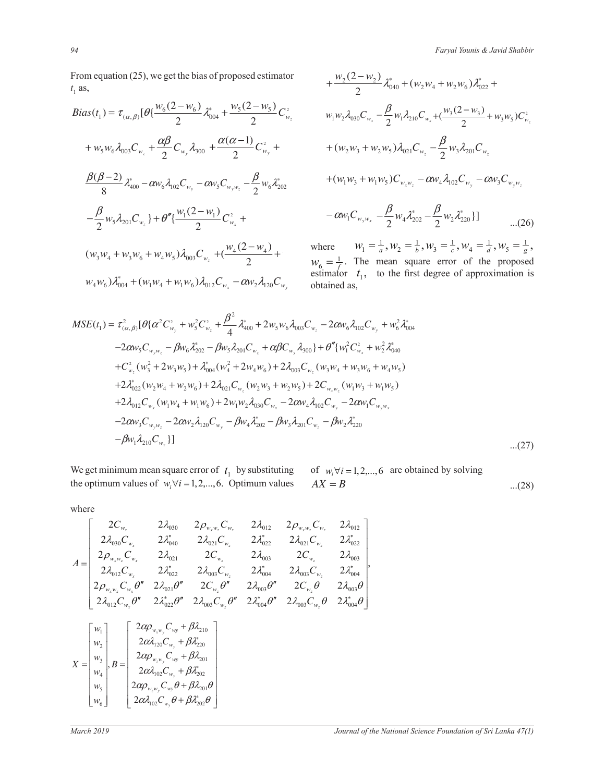From equation (25), we get the bias of proposed estimator  $t_{\text{as}}$  $t_1$  as,

$$
Bias(t_1) = \tau_{(\alpha,\beta)}[\theta\{\frac{w_6(2-w_6)}{2}\lambda_{004}^* + \frac{w_5(2-w_5)}{2}C_{w_2}^2 \qquad w_1w_2\lambda_{030}\}\n+ w_5w_6\lambda_{003}C_{w_2} + \frac{\alpha\beta}{2}C_{w_3}\lambda_{300} + \frac{\alpha(\alpha-1)}{2}C_{w_3}^2 + \qquad + (w_2w_3)\n+ \frac{\beta(\beta-2)}{8}\lambda_{400}^* - \alpha w_6\lambda_{102}C_{w_3} - \alpha w_5C_{w_3w_2} - \frac{\beta}{2}w_6\lambda_{202}^* \qquad + (w_1w_3)\n- \frac{\beta}{2}w_5\lambda_{201}C_{w_2}\} + \theta''\{\frac{w_1(2-w_1)}{2}C_{w_2}^2 + \qquad -\alpha w_1C_{w_3}\n- \frac{\alpha}{2}w_5\lambda_{201}C_{w_2}\} + \theta''\{\frac{w_1(2-w_1)}{2}C_{w_2}^2 + \qquad -\alpha w_1C_{w_3}\n+ \frac{w_4(2-w_4)}{2} + \qquad -\frac{\alpha}{2}w_6\} + \frac{w_6}{2} = \frac{1}{f}. \quad \text{This equation, the equation is}
$$
\n
$$
w_4w_6\lambda_{004}^* + (w_1w_4 + w_1w_6)\lambda_{012}C_{w_2} - \alpha w_2\lambda_{120}C_{w_3}
$$
\n
$$
\text{obtained as,}
$$

$$
+\frac{w_2(2-w_2)}{2}\lambda_{040}^* + (w_2w_4 + w_2w_6)\lambda_{022}^* +
$$
  
\n
$$
w_1w_2\lambda_{030}C_{w_x} - \frac{\beta}{2}w_1\lambda_{210}C_{w_x} + (\frac{w_3(2-w_3)}{2} + w_3w_5)C_{w_x}^2
$$
  
\n
$$
+(w_2w_3 + w_2w_5)\lambda_{021}C_{w_x} - \frac{\beta}{2}w_3\lambda_{201}C_{w_x}
$$
  
\n
$$
+(w_1w_3 + w_1w_5)C_{w_xw_x} - \alpha w_4\lambda_{102}C_{w_y} - \alpha w_3C_{w_yw_x}
$$
  
\n
$$
-\alpha w_1C_{w_yw_x} - \frac{\beta}{2}w_4\lambda_{202}^* - \frac{\beta}{2}w_2\lambda_{220}^*\}
$$
...(26)

where  $w_1 = \frac{1}{a}, w_2 = \frac{1}{b}, w_3 = \frac{1}{c}, w_4 = \frac{1}{d}, w_5 = \frac{1}{g},$  $w_4 + w_5 w_{003} w_{w_2}$  (2)  $w_6 = \frac{1}{f}$ . The mean square error of the proposed estimator  $t_1$ , to the first degree of approximation is obtained as,

$$
MSE(t_1) = \tau_{(\alpha,\beta)}^2 [\theta (\alpha^2 C_{w_y}^2 + w_5^2 C_{w_z}^2 + \frac{\beta^2}{4} \lambda_{400}^* + 2w_5 w_6 \lambda_{003} C_{w_z} - 2\alpha w_6 \lambda_{102} C_{w_y} + w_6^2 \lambda_{004}^* - 2\alpha w_5 C_{w_y w_z} - \beta w_6 \lambda_{202}^* - \beta w_5 \lambda_{201} C_{w_z} + \alpha \beta C_{w_y} \lambda_{300} + \theta'' \{w_1^2 C_{w_x}^2 + w_2^2 \lambda_{040}^* + C_{w_z}^2 (w_3^2 + 2w_3 w_5) + \lambda_{004}^* (w_4^2 + 2w_4 w_6) + 2\lambda_{003} C_{w_z} (w_3 w_4 + w_3 w_6 + w_4 w_5) + 2\lambda_{022}^* (w_2 w_4 + w_2 w_6) + 2\lambda_{021} C_{w_z} (w_2 w_3 + w_2 w_5) + 2C_{w_x w_z} (w_1 w_3 + w_1 w_5) + 2\lambda_{012} C_{w_x} (w_1 w_4 + w_1 w_6) + 2w_1 w_2 \lambda_{030} C_{w_x} - 2\alpha w_4 \lambda_{102} C_{w_y} - 2\alpha w_1 C_{w_y w_z} - 2\alpha w_3 C_{w_y w_z} - 2\alpha w_2 \lambda_{120} C_{w_y} - \beta w_4 \lambda_{202}^* - \beta w_3 \lambda_{201} C_{w_z} - \beta w_2 \lambda_{220}^* - \beta w_1 \lambda_{210} C_{w_x}]
$$
...(27)

the optimum values of  $w_i \forall i = 1, 2, ..., 6$ . Optimum values We get minimum mean square error of *t* by substituting optimum values of We get minimum mean square error of  $t_1$  by substituting of  $w_i \forall i = 1, 2, ..., 6$  are obtained by solving  $AX = B$  $...(28)$ 

»

 $\overline{\phantom{0}}$ 

«

» «

where

$$
A = \begin{bmatrix} 2C_{w_x} & 2\lambda_{030} & 2\rho_{w_xw_z}C_{w_z} & 2\lambda_{012} & 2\rho_{w_xw_z}C_{w_z} & 2\lambda_{012} \\ 2\lambda_{030}C_{w_x} & 2\lambda_{040} & 2\lambda_{021}C_{w_z} & 2\lambda_{022}^{*} & 2\lambda_{021}C_{w_z} & 2\lambda_{022}^{*} \\ 2\rho_{w_xw_z}C_{w_x} & 2\lambda_{021} & 2C_{w_z} & 2\lambda_{003} & 2C_{w_z} & 2\lambda_{003} \\ 2\lambda_{012}C_{w_x} & 2\lambda_{022}^{*} & 2\lambda_{003}C_{w_z} & 2\lambda_{004}^{*} & 2\lambda_{003}C_{w_z} & 2\lambda_{004}^{*} \\ 2\rho_{w_xw_z}C_{w_x}\theta'' & 2\lambda_{021}\theta'' & 2C_{w_z}\theta'' & 2\lambda_{003}\theta'' & 2C_{w_z}\theta & 2\lambda_{003}\theta \\ 2\lambda_{012}C_{w_x}\theta'' & 2\lambda_{022}^{*}\theta'' & 2\lambda_{003}C_{w_z}\theta'' & 2\lambda_{004}^{*}\theta'' & 2\lambda_{003}C_{w_z}\theta & 2\lambda_{004}^{*}\theta \end{bmatrix}
$$

$$
X = \begin{bmatrix} w_1 \\ w_2 \\ w_3 \\ w_4 \\ w_5 \end{bmatrix}, B = \begin{bmatrix} 2\alpha\rho_{w_xw_y}C_{wy} + \beta\lambda_{210} \\ 2\alpha\lambda_{102}C_{w_y} + \beta\lambda_{201} \\ 2\alpha\lambda_{102}C_{w_y} + \beta\lambda_{201}^{*} \\ 2\alpha\rho_{w_zw_y}C_{wy}\theta + \beta\lambda_{201}\theta \\ 2\alpha\rho_{w_zw_y}C_{w\theta} + \beta\lambda_{201}\theta \end{bmatrix}
$$

«

»

» » »

« « «

 $\left[2\alpha\lambda_{_{102}}C_{_{W_{y}}}\theta+\beta\lambda_{_{202}}^{*}\theta\right]$ 

*y*

*w*

 $\alpha\lambda_{102}C_{w}$   $\theta + \beta\lambda_{202}^{*}\theta$ 

 $_{102}C_{w_v}C + \mu v_{202}$ 

 $\left[2\alpha\lambda_{_{102}}C_{_{W_{y}}}\theta+\right]$ 

*C*

*yz*

2

 $\overline{\phantom{a}}$ 

 $\begin{bmatrix} 1 & 3 \\ w_6 \end{bmatrix}$ 

 $\lfloor w_6$ 

*w*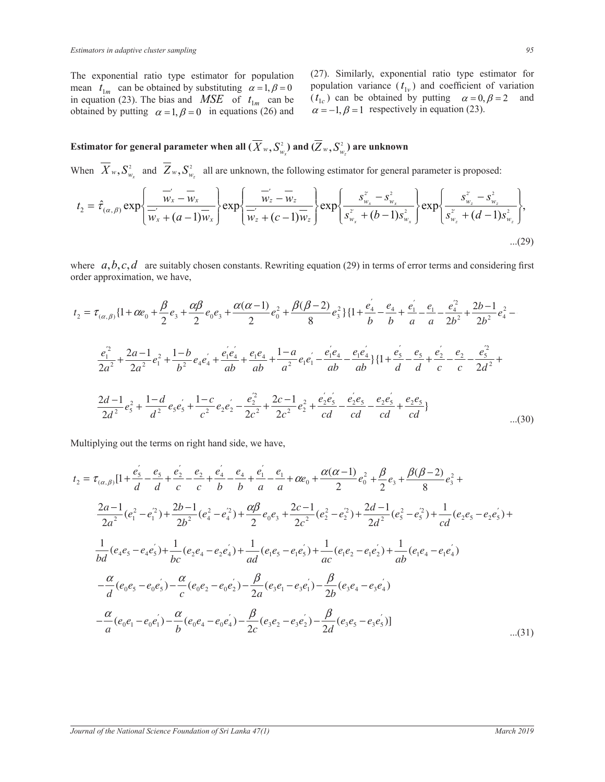The exponential ratio type estimator for population mean  $t_{1m}$  can be obtained by substituting  $\alpha = 1, \beta = 0$ in equation (23). The bias and  $MSE$  of  $t_{1m}$  can be obtained by putting  $\alpha = 1, \beta = 0$  in equations (26) and

(27). Similarly, exponential ratio type estimator for population variance  $(t_{1v})$  and coefficient of variation  $(t<sub>1c</sub>)$  can be obtained by putting  $\alpha = 0, \beta = 2$  and  $\alpha = -1, \beta = 1$  respectively in equation (23).

Estimator for general parameter when all  $(X_{w},S_{w_{x}}^{2})$  and  $(Z_{w},S_{w_{z}}^{2})$  are unknown

When  $X_w$ ,  $S_{w_x}^2$  and  $Z_w$ ,  $S_{w_z}^2$  all are unknown, the following estimator for general parameter is proposed: ½

$$
t_{2} = \hat{\tau}_{(\alpha,\beta)} \exp\left\{\frac{\overline{w}_{x} - \overline{w}_{x}}{\overline{w}_{x} + (a-1)\overline{w}_{x}}\right\} \exp\left\{\frac{\overline{w}_{z} - \overline{w}_{z}}{\overline{w}_{z} + (c-1)\overline{w}_{z}}\right\} \exp\left\{\frac{s_{w_{x}}^{2} - s_{w_{x}}^{2}}{s_{w_{x}}^{2} + (b-1)s_{w_{x}}^{2}}\right\} \exp\left\{\frac{s_{w_{z}}^{2} - s_{w_{z}}^{2}}{s_{w_{z}}^{2} + (d-1)s_{w_{z}}^{2}}\right\},\tag{29}
$$

where  $a, b, c, d$  are suitably chosen constants. Rewriting equation (29) in terms of error terms and considering first order approximation, we have,

$$
t_2 = \tau_{(\alpha,\beta)} \{1 + \alpha e_0 + \frac{\beta}{2} e_3 + \frac{\alpha \beta}{2} e_0 e_3 + \frac{\alpha (\alpha - 1)}{2} e_0^2 + \frac{\beta (\beta - 2)}{8} e_3^2 \} \{1 + \frac{e_4^2}{b} - \frac{e_4}{b} + \frac{e_1^2}{a} - \frac{e_4^2}{a} + \frac{2b - 1}{2b^2} e_4^2 - \frac{e_4^2}{2a^2} + \frac{2a - 1}{2a^2} e_1^2 + \frac{1 - b}{b^2} e_4 e_4^2 + \frac{e_1^2 e_4}{ab} + \frac{e_1 e_4}{ab} + \frac{1 - a}{a^2} e_1 e_1^2 - \frac{e_1^2 e_4}{ab} - \frac{e_1 e_4}{ab} \} \{1 + \frac{e_5^2}{d} - \frac{e_5}{d} + \frac{e_2^2}{c} - \frac{e_2^2}{c^2} - \frac{e_2^2}{2d^2} + \frac{2d - 1}{2d^2} e_3^2 + \frac{1 - d}{d^2} e_5 e_5^2 + \frac{1 - c}{c^2} e_2 e_2^2 - \frac{e_2^2}{2c^2} + \frac{2c - 1}{2c^2} e_2^2 + \frac{e_2^2 e_5^2}{c^2} - \frac{e_2^2 e_5^2}{c^2} - \frac{e_2 e_5^2}{c^2} + \frac{e_2 e_5}{c^2} + \frac{e_2 e_5}{c^2} + \frac{e_2 e_5}{c^2} + \frac{a_2 e_5}{c^2} + \frac{a_2 e_5}{c^2} + \frac{a_2 e_5}{c^2} + \frac{a_2 e_5}{c^2} + \frac{a_2 e_5}{c^2} + \frac{a_2 e_5}{c^2} + \frac{a_2 e_5}{c^2} + \frac{a_2 e_5}{c^2} + \frac{a_2 e_5}{c^2} + \frac{a_2 e_5}{c^2} + \frac{a_2 e_5}{c^2} + \frac{a_2 e_5}{c^2} + \frac{a_2 e_5}{c^2} + \frac{a_2 e_5}{c^
$$

tiplying out the terms on right hand side, we have Multiplying out the terms on right hand side, we have,

$$
t_{2} = \tau_{(\alpha,\beta)}[1 + \frac{e_{5}^{'} - e_{5}^{'} + \frac{e_{2}^{'} - e_{2}^{}}{c} + \frac{e_{4}^{'} - e_{4}^{'} + \frac{e_{1}^{'} - e_{1}^{}}{d} + \frac{e_{1}^{'} - e_{1}^{}}{d} + \frac{e_{1}^{'} - e_{1}^{}}{d} + \frac{e_{1}^{'} - e_{1}^{2}}{d} + \frac{\alpha(\alpha - 1)}{2}e_{0}^{2} + \frac{\beta}{2}e_{3} + \frac{\beta(\beta - 2)}{8}e_{3}^{2} + \frac{2a - 1}{2a^{2}}(e_{1}^{2} - e_{1}^{2}) + \frac{2b - 1}{2b^{2}}(e_{4}^{2} - e_{4}^{2}) + \frac{\alpha\beta}{2}e_{0}e_{3} + \frac{2c - 1}{2c^{2}}(e_{2}^{2} - e_{2}^{2}) + \frac{2d - 1}{2d^{2}}(e_{5}^{2} - e_{5}^{2}) + \frac{1}{cd}(e_{2}e_{5} - e_{2}e_{5}^{'}) + \frac{1}{bc}(e_{4}e_{5} - e_{4}e_{5}^{'}) + \frac{1}{bc}(e_{4}e_{5} - e_{4}e_{5}^{'}) + \frac{1}{ac}(e_{1}e_{5} - e_{1}e_{5}^{'}) + \frac{1}{ac}(e_{1}e_{2} - e_{1}e_{2}^{'}) + \frac{1}{ab}(e_{1}e_{4} - e_{1}e_{4}^{'})
$$

$$
-\frac{\alpha}{d}(e_{0}e_{5} - e_{0}e_{5}^{'}) - \frac{\alpha}{c}(e_{0}e_{2} - e_{0}e_{2}^{'}) - \frac{\beta}{2a}(e_{3}e_{1} - e_{3}e_{1}^{'}) - \frac{\beta}{2b}(e_{3}e_{4} - e_{3}e_{4}^{'})
$$

$$
-\frac{\alpha}{a}(e_{0}e_{1} - e_{0}e_{1}^{'}) - \frac{\alpha}{b}(e_{0}e_{4} - e_{0}e_{4}^{'}) - \frac{\beta}{2c}(e_{3}e_{2} - e_{3}e_{2}^{'}) - \frac{\beta}{2d}(e_{3}e_{5} - e_{3}e_{5}^{'})] \qquad ...(3
$$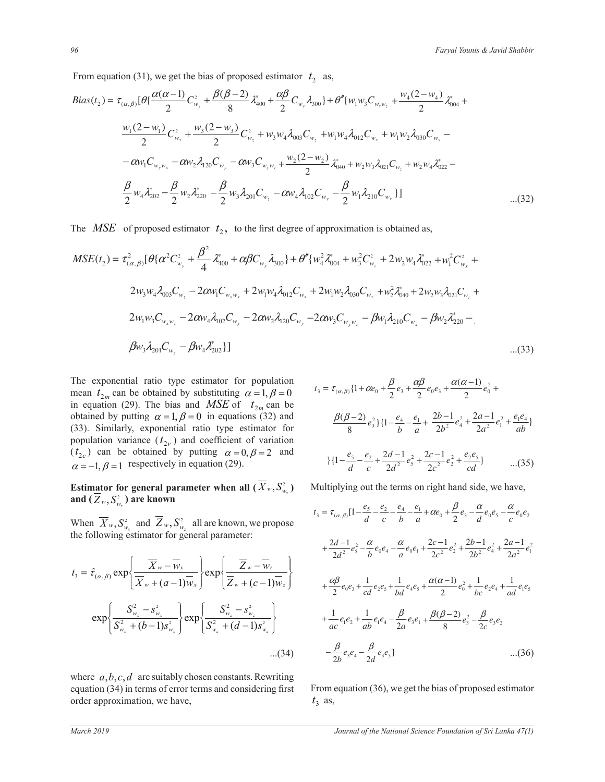From equation (31), we get the bias of proposed estimator  $t_2$  as,

$$
Bias(t_2) = \tau_{(\alpha,\beta)}[\theta \{ \frac{\alpha(\alpha-1)}{2}C_{w_y}^2 + \frac{\beta(\beta-2)}{8}\lambda_{400}^* + \frac{\alpha\beta}{2}C_{w_y}\lambda_{300}\} + \theta''\{w_1w_3C_{w_xw_z}^2 + \frac{w_4(2-w_4)}{2}\lambda_{004}^* + \frac{w_1(2-w_1)}{2}C_{w_x}^2 + \frac{w_3(2-w_3)}{2}C_{w_z}^2 + w_3w_4\lambda_{003}C_{w_z}^2 + w_1w_4\lambda_{012}C_{w_x}^2 + w_1w_2\lambda_{030}C_{w_x} - \alpha w_1C_{w_yw_x} - \alpha w_2\lambda_{120}C_{w_y} - \alpha w_3C_{w_yw_z} + \frac{w_2(2-w_2)}{2}\lambda_{040}^* + w_2w_3\lambda_{021}C_{w_z} + w_2w_4\lambda_{022}^* - \frac{\beta}{2}w_4\lambda_{202}^* - \frac{\beta}{2}w_2\lambda_{220}^* - \frac{\beta}{2}w_3\lambda_{201}C_{w_z} - \alpha w_4\lambda_{102}C_{w_y} - \frac{\beta}{2}w_1\lambda_{210}C_{w_x}\}\]
$$
...(32)

The *MSE* of proposed estimator  $t_2$ , to the first degree of approximation is obtained as,

$$
MSE(t_2) = \tau_{(\alpha,\beta)}^2 [\theta \{\alpha^2 C_{w_y}^2 + \frac{\beta^2}{4} \lambda_{400}^* + \alpha \beta C_{w_y} \lambda_{300}\} + \theta'' \{w_4^2 \lambda_{004}^* + w_3^2 C_{w_z}^2 + 2w_2 w_4 \lambda_{022}^* + w_1^2 C_{w_x}^2 + 2w_3 w_4 \lambda_{003} C_{w_z} - 2\alpha w_1 C_{w_y w_x} + 2w_1 w_4 \lambda_{012} C_{w_x} + 2w_1 w_2 \lambda_{030} C_{w_x} + w_2^2 \lambda_{040}^* + 2w_2 w_3 \lambda_{021} C_{w_z} + 2w_1 w_3 C_{w_x w_z} - 2\alpha w_4 \lambda_{102} C_{w_y} - 2\alpha w_2 \lambda_{120} C_{w_y} - 2\alpha w_3 C_{w_y w_z} - \beta w_1 \lambda_{210} C_{w_x} - \beta w_2 \lambda_{220}^* - \beta w_3 \lambda_{201} C_{w_z} - \beta w_4 \lambda_{202}^* \}]
$$
...(33)

The exponential ratio type estimator for population in equation (29). The bias and *MSE* of  $t_{2m}$  can be population variance  $(t_{2v})$  and coefficient of variation mean  $t_{2m}$  can be obtained by substituting  $\alpha = 1, \beta = 0$ (*t*<sub>2*c*</sub>) can be obtained by putting  $\alpha = 0, \beta = 2$  and  $\alpha = 0, \beta = 2$ obtained by putting  $\alpha = 1, \beta = 0$  in equations (32) and  $\beta(\beta)$  $\alpha = -1, \beta = 1$  respectively in equation (29). (33). Similarly, exponential ratio type estimator for *b a*

## **Estimator for general parameter when all**  $(X_w, S_{w_x}^2)$ and  $(Z_w, S^2_{w_z})$  are known

When  $X_w$ ,  $S_{w_x}^2$  and  $Z_w$ ,  $S_{w_z}^2$  all are known, we propose the following estimator for general parameter:

$$
t_{3} = \hat{\tau}_{(\alpha,\beta)} \exp\left\{\frac{\overline{X}_{w} - \overline{w}_{x}}{\overline{X}_{w} + (a-1)\overline{w}_{x}}\right\} \exp\left\{\frac{\overline{Z}_{w} - \overline{w}_{z}}{\overline{Z}_{w} + (c-1)\overline{w}_{z}}\right\}
$$

$$
\exp\left\{\frac{S_{w_{x}}^{2} - S_{w_{x}}^{2}}{S_{w_{x}}^{2} + (b-1)s_{w_{x}}^{2}}\right\} \exp\left\{\frac{S_{w_{z}}^{2} - S_{w_{z}}^{2}}{S_{w_{z}}^{2} + (d-1)s_{w_{z}}^{2}}\right\}
$$
...(34)

where  $a, b, c, d$  are suitably chosen constants. Rewriting  $t_3$  as, equation (34) in terms of error terms and considering first order approximation, we have,

 $\overline{\phantom{a}}$ 

ϭϮ

$$
t_3 = \tau_{(\alpha,\beta)} \{1 + \alpha e_0 + \frac{\beta}{2} e_3 + \frac{\alpha \beta}{2} e_0 e_3 + \frac{\alpha (\alpha - 1)}{2} e_0^2 +
$$
  
\n  
\ne  
\nd  
\n
$$
\frac{\beta(\beta - 2)}{8} e_3^2 \} \{1 - \frac{e_4}{b} - \frac{e_1}{a} + \frac{2b - 1}{2b^2} e_4^2 + \frac{2a - 1}{2a^2} e_1^2 + \frac{e_1 e_4}{ab}\}
$$
  
\n  
\nand  
\n
$$
\{1 - \frac{e_5}{d} - \frac{e_2}{c} + \frac{2d - 1}{2d^2} e_5^2 + \frac{2c - 1}{2c^2} e_2^2 + \frac{e_2 e_5}{cd}\}
$$
...(35)

Multiplying out the terms on right hand side, we have,

own, we propose  
\n
$$
t_3 = \tau_{(\alpha,\beta)}[1 - \frac{e_5}{d} - \frac{e_2}{b} - \frac{e_4}{d} - \frac{e_1}{d} + \alpha e_0 + \frac{\beta}{2}e_3 - \frac{\alpha}{d}e_0e_5 - \frac{\alpha}{c}e_0e_2
$$
\nmeter:  
\n
$$
+ \frac{2d-1}{2d^2}e_5^2 - \frac{\alpha}{b}e_0e_4 - \frac{\alpha}{a}e_0e_1 + \frac{2c-1}{2c^2}e_2^2 + \frac{2b-1}{2b^2}e_4^2 + \frac{2a-1}{2a^2}e_1^2
$$
\n
$$
\overline{Z}_w - \overline{w}_z
$$
\n
$$
+ \frac{\alpha\beta}{2}e_0e_3 + \frac{1}{cd}e_2e_5 + \frac{1}{bd}e_4e_5 + \frac{\alpha(\alpha-1)}{2}e_0^2 + \frac{1}{bc}e_2e_4 + \frac{1}{ad}e_1e_5
$$
\n
$$
+ \frac{1}{ac}e_1e_2 + \frac{1}{ab}e_1e_4 - \frac{\beta}{2a}e_3e_1 + \frac{\beta(\beta-2)}{8}e_3^2 - \frac{\beta}{2c}e_3e_2
$$
\n...(34)  
\n
$$
- \frac{\beta}{2b}e_3e_4 - \frac{\beta}{2d}e_3e_5]
$$
\n...(36)

From equation (36), we get the bias of proposed estimator

 $\overline{\phantom{a}}$ 

ϭϮ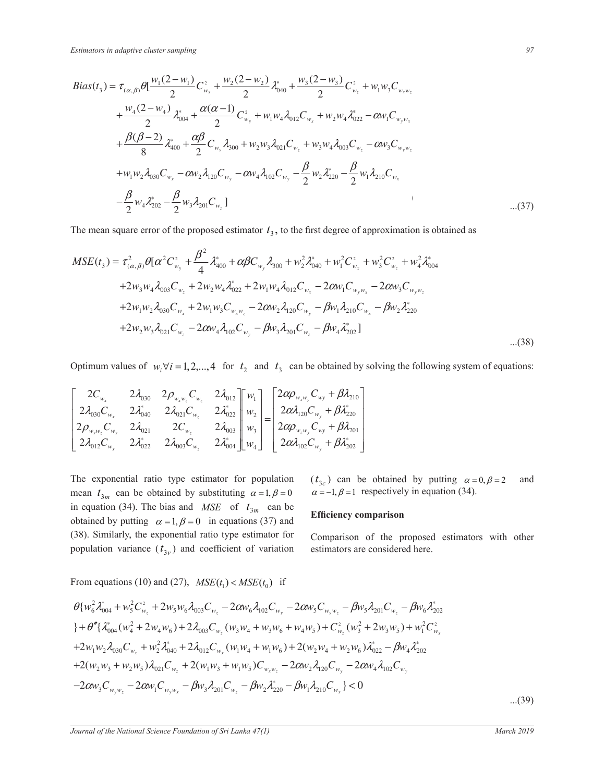$$
Bias(t_3) = \tau_{(\alpha,\beta)}\theta[\frac{w_1(2-w_1)}{2}C_{w_x}^2 + \frac{w_2(2-w_2)}{2}\lambda_{040}^2 + \frac{w_3(2-w_3)}{2}C_{w_z}^2 + w_1w_3C_{w_xw_z} + \frac{w_4(2-w_4)}{2}\lambda_{004}^2 + \frac{\alpha(\alpha-1)}{2}C_{w_y}^2 + w_1w_4\lambda_{012}C_{w_x} + w_2w_4\lambda_{022}^2 - \alpha w_1C_{w_yw_x} + \frac{\beta(\beta-2)}{8}\lambda_{400}^2 + \frac{\alpha\beta}{2}C_{w_y}\lambda_{300} + w_2w_3\lambda_{021}C_{w_z} + w_3w_4\lambda_{003}C_{w_z} - \alpha w_3C_{w_yw_z} + w_1w_2\lambda_{030}C_{w_x} - \alpha w_2\lambda_{120}C_{w_y} - \alpha w_4\lambda_{102}C_{w_y} - \frac{\beta}{2}w_2\lambda_{220}^2 - \frac{\beta}{2}w_1\lambda_{210}C_{w_x} - \frac{\beta}{2}w_4\lambda_{202}^2 - \frac{\beta}{2}w_3\lambda_{201}C_{w_z}]
$$
...(37)

The mean square error of the proposed estimator  $t<sub>3</sub>$ , to the first degree of approximation is obtained as

$$
MSE(t_3) = \tau_{(\alpha,\beta)}^2 \theta [\alpha^2 C_{w_y}^2 + \frac{\beta^2}{4} \lambda_{400}^* + \alpha \beta C_{w_y} \lambda_{300} + w_2^2 \lambda_{040}^* + w_1^2 C_{w_x}^2 + w_3^2 C_{w_z}^2 + w_4^2 \lambda_{004}^*
$$
  
+2 $w_3 w_4 \lambda_{003} C_{w_z} + 2 w_2 w_4 \lambda_{022}^* + 2 w_1 w_4 \lambda_{012} C_{w_x} - 2 \alpha w_1 C_{w_y w_x} - 2 \alpha w_3 C_{w_y w_z}$   
+2 $w_1 w_2 \lambda_{030} C_{w_x} + 2 w_1 w_3 C_{w_x w_z} - 2 \alpha w_2 \lambda_{120} C_{w_y} - \beta w_1 \lambda_{210} C_{w_x} - \beta w_2 \lambda_{220}^*$   
+2 $w_2 w_3 \lambda_{021} C_{w_z} - 2 \alpha w_4 \lambda_{102} C_{w_y} - \beta w_3 \lambda_{201} C_{w_z} - \beta w_4 \lambda_{202}^*]$ ...(38)

Optimum values of  $w_i \forall i = 1, 2, ..., 4$  for  $t_2$  and  $t_3$  can be obtained by solving the following system of equations: » « «  $\mathbf{a}$ » » « «

$$
\begin{bmatrix} 2C_{w_x} & 2\lambda_{030} & 2\rho_{w_xw_z}C_{w_z} & 2\lambda_{012} \\ 2\lambda_{030}C_{w_x} & 2\lambda_{040}^* & 2\lambda_{021}C_{w_z} & 2\lambda_{022}^* \\ 2\rho_{w_xw_z}C_{w_x} & 2\lambda_{021} & 2C_{w_z} & 2\lambda_{003} \\ 2\lambda_{012}C_{w_x} & 2\lambda_{022}^* & 2\lambda_{003}C_{w_z} & 2\lambda_{04}^* \end{bmatrix} \begin{bmatrix} w_1 \\ w_2 \\ w_3 \\ w_4 \end{bmatrix} = \begin{bmatrix} 2\alpha\rho_{w_xw_y}C_{wy} + \beta\lambda_{210} \\ 2\alpha\lambda_{120}C_{w_y} + \beta\lambda_{201}^* \\ 2\alpha\rho_{w_zw_y}C_{wy} + \beta\lambda_{201}^* \\ 2\alpha\lambda_{102}C_{w_y} + \beta\lambda_{202}^* \end{bmatrix}
$$

in equation (34). The bias and *MSE* of  $t_{3m}$  can be The exponential ratio type estimator for population mean  $t_{3m}$  can be obtained by substituting  $\alpha = 1, \beta = 0$ obtained by putting  $\alpha = 1, \beta = 0$  in equations (37) and (38). Similarly, the exponential ratio type estimator for population variance  $(t_{3v})$  and coefficient of variation

 $(t_{3c})$  can be obtained by putting  $\alpha = 0, \beta = 2$  and  $\alpha = -1, \beta = 1$  respectively in equation (34).

#### **Efficiency comparison**

estimators are considered here. Comparison of the proposed estimators with other

 $\overline{a}$ From equations (10) and (27),  $MSE(t_1) < MSE(t_0)$  if

$$
\theta \{ w_6^2 \lambda_{004}^* + w_5^2 C_{w_z}^2 + 2 w_5 w_6 \lambda_{003} C_{w_z} - 2 \alpha w_6 \lambda_{102} C_{w_y} - 2 \alpha w_5 C_{w_y w_z} - \beta w_5 \lambda_{201} C_{w_z} - \beta w_6 \lambda_{202}^*
$$
\n
$$
\} + \theta'' \{ \lambda_{004}^* (w_4^2 + 2 w_4 w_6) + 2 \lambda_{003} C_{w_z} (w_3 w_4 + w_3 w_6 + w_4 w_5) + C_{w_z}^2 (w_3^2 + 2 w_3 w_5) + w_1^2 C_{w_x}^2
$$
\n
$$
+ 2 w_1 w_2 \lambda_{030} C_{w_x} + w_2^2 \lambda_{040}^* + 2 \lambda_{012} C_{w_x} (w_1 w_4 + w_1 w_6) + 2 (w_2 w_4 + w_2 w_6) \lambda_{022}^* - \beta w_4 \lambda_{202}^*
$$
\n
$$
+ 2 (w_2 w_3 + w_2 w_5) \lambda_{021} C_{w_z} + 2 (w_1 w_3 + w_1 w_5) C_{w_x w_z} - 2 \alpha w_2 \lambda_{120} C_{w_y} - 2 \alpha w_4 \lambda_{102} C_{w_y}
$$
\n
$$
- 2 \alpha w_3 C_{w_y w_z} - 2 \alpha w_1 C_{w_y w_x} - \beta w_3 \lambda_{201} C_{w_z} - \beta w_2 \lambda_{220}^* - \beta w_1 \lambda_{210} C_{w_x} \} < 0
$$
\n...(39)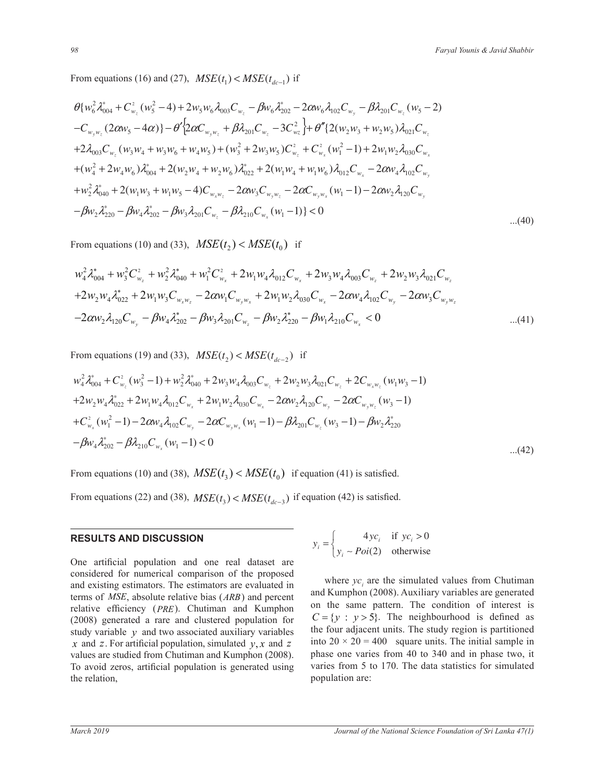From equations (16) and (27),  $MSE(t_1) < MSE(t_{dc-1})$  if

$$
\theta \{w_{6}^{2}\lambda_{004}^{*} + C_{w_{z}}^{2}(w_{5}^{2} - 4) + 2w_{5}w_{6}\lambda_{003}C_{w_{z}} - \beta w_{6}\lambda_{202}^{*} - 2\alpha w_{6}\lambda_{102}C_{w_{y}} - \beta\lambda_{201}C_{w_{z}}(w_{5} - 2) \n-C_{w_{y}w_{z}}(2\alpha w_{5} - 4\alpha)\} - \theta'\left\{2\alpha C_{w_{y}w_{z}} + \beta\lambda_{201}C_{w_{z}} - 3C_{w_{z}}^{2}\right\} + \theta''\left\{2(w_{2}w_{3} + w_{2}w_{5})\lambda_{021}C_{w_{z}} + 2\lambda_{003}C_{w_{z}}(w_{3}w_{4} + w_{3}w_{6} + w_{4}w_{5}) + (w_{3}^{2} + 2w_{3}w_{5})C_{w_{z}}^{2} + C_{w_{x}}^{2}(w_{1}^{2} - 1) + 2w_{1}w_{2}\lambda_{030}C_{w_{x}} + (w_{4}^{2} + 2w_{4}w_{6})\lambda_{004}^{*} + 2(w_{2}w_{4} + w_{2}w_{6})\lambda_{022}^{*} + 2(w_{1}w_{4} + w_{1}w_{6})\lambda_{012}C_{w_{x}} - 2\alpha w_{4}\lambda_{102}C_{w_{y}} + w_{2}^{2}\lambda_{040}^{*} + 2(w_{1}w_{3} + w_{1}w_{5} - 4)C_{w_{x}w_{z}} - 2\alpha w_{3}C_{w_{y}w_{z}} - 2\alpha C_{w_{y}w_{x}}(w_{1} - 1) - 2\alpha w_{2}\lambda_{120}C_{w_{y}} - \beta w_{2}\lambda_{220}^{*} - \beta w_{4}\lambda_{202}^{*} - \beta w_{3}\lambda_{201}C_{w_{z}} - \beta\lambda_{210}C_{w_{x}}(w_{1} - 1)\} < 0
$$
...(40)

3) From (10) and (33), *MSE t* )( < *MSE t* )( if From equations (10) and (33),  $MSE(t_2) < MSE(t_0)$  if

$$
w_4^2 \lambda_{004}^* + w_3^2 C_{w_z}^2 + w_2^2 \lambda_{040}^* + w_1^2 C_{w_x}^2 + 2 w_1 w_4 \lambda_{012} C_{w_x} + 2 w_3 w_4 \lambda_{003} C_{w_z} + 2 w_2 w_3 \lambda_{021} C_{w_z} + 2 w_2 w_4 \lambda_{022}^* + 2 w_1 w_3 C_{w_x w_z} - 2 \alpha w_1 C_{w_y w_x} + 2 w_1 w_2 \lambda_{030} C_{w_x} - 2 \alpha w_4 \lambda_{102} C_{w_y} - 2 \alpha w_3 C_{w_y w_z} - 2 \alpha w_2 \lambda_{120} C_{w_y} - \beta w_4 \lambda_{202}^* - \beta w_3 \lambda_{201} C_{w_z} - \beta w_2 \lambda_{220}^* - \beta w_1 \lambda_{210} C_{w_x} < 0 \qquad \qquad \dots (41)
$$

From equations (19) and (33),  $MSE(t_2) < MSE(t_{dc-2})$  if

$$
w_4^2 \lambda_{004}^* + C_{w_z}^2 (w_3^2 - 1) + w_2^2 \lambda_{040}^* + 2w_3 w_4 \lambda_{003} C_{w_z} + 2w_2 w_3 \lambda_{021} C_{w_z} + 2C_{w_x w_z} (w_1 w_3 - 1)
$$
  
+2w\_2 w\_4 \lambda\_{022}^\* + 2w\_1 w\_4 \lambda\_{012} C\_{w\_x} + 2w\_1 w\_2 \lambda\_{030} C\_{w\_x} - 2\alpha w\_2 \lambda\_{120} C\_{w\_y} - 2\alpha C\_{w\_y w\_z} (w\_3 - 1)  
+ C\_{w\_x}^2 (w\_1^2 - 1) - 2\alpha w\_4 \lambda\_{102} C\_{w\_y} - 2\alpha C\_{w\_y w\_x} (w\_1 - 1) - \beta \lambda\_{201} C\_{w\_z} (w\_3 - 1) - \beta w\_2 \lambda\_{220}^\*  
- $\beta w_4 \lambda_{202}^* - \beta \lambda_{210} C_{w_x} (w_1 - 1) < 0$ ...(42)

From equations (10) and (38),  $MSE(t_3) < MSE(t_0)$  if equation (41) is satisfied.

From equations (22) and (38),  $MSE(t_3) < MSE(t_{dc-3})$  if equation (42) is satisfied.

#### **RESULTS AND DISCUSSION**

and existing estimators. The estimators are evaluated in axxociated terms of  $MSE$ , absolute relative bias ( $ARB$ ) and percent study variable  $y$  and two associated auxiliary variables One artificial population and one real dataset are considered for numerical comparison of the proposed relative efficiency (PRE). Chutiman and Kumphon (2008) generated a rare and clustered population for *x* and *z*. For artificial population, simulated  $y, x$  and *z* values are studied from Chutiman and Kumphon (2008). To avoid zeros, artificial population is generated using the relation,

SULTS AND DISCUSSION  
\n
$$
y_i = \begin{cases} 4yc_i & \text{if } yc_i > 0 \\ y_i \sim Poi(2) & \text{otherwise} \end{cases}
$$

*y* on the same pattern. The condition of interest is and two associated auxiliary variables the four adjacent units. The study region is partitioned where  $yc_i$  are the simulated values from Chutiman and Kumphon (2008). Auxiliary variables are generated  $C = \{y : y > 5\}$ . The neighbourhood is defined as into  $20 \times 20 = 400$  square units. The initial sample in phase one varies from 40 to 340 and in phase two, it varies from 5 to 170. The data statistics for simulated population are: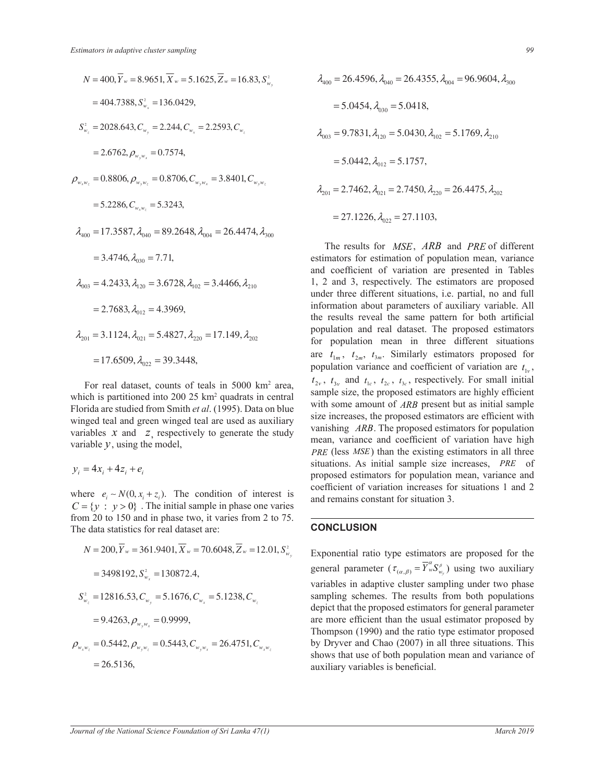

*Florida are studied from Smith <i>et al.* (1995). Data on blue  $_{\rm tot}$ winged teal and green winged teal are used as auxiliary *For real dataset, counts of teals in 5000 km<sup>2</sup> area,* which is partitioned into 200 25 km<sup>2</sup> quadrats in central variables *x* and *z*, respectively to generate the study variable  $y$ , using the model,

$$
y_i = 4x_i + 4z_i + e_i
$$

= = = =  $C = \{y : y > 0\}$ . The initial sample in phase one varies  $\frac{1}{20}$  to 150 and in phase two, it varies from 2 to<br>The data statistics for real dataset are:  $\frac{1}{2}$  or  $\frac{1}{2}$  is  $\frac{1}{2}$  in the minimum sample in phase one varies from 20 to 75. The data statistics for real dataset are:  $\frac{1}{2}$  in the data biatistics for  $\frac{1}{2}$ where  $e_i \sim N(0, x_i + z_i)$ . The condition of interest is

$$
N = 200, \overline{Y}_{w} = 361.9401, \overline{X}_{w} = 70.6048, \overline{Z}_{w} = 12.01, S_{w_y}^{2}
$$
  
= 3498192,  $S_{w_x}^{2} = 130872.4$ ,  

$$
S_{w_z}^{2} = 12816.53, C_{w_y} = 5.1676, C_{w_x} = 5.1238, C_{w_z}
$$
  
= 9.4263,  $\rho_{w_y w_x} = 0.9999$ ,  

$$
\rho = 0.5442, \rho = 0.5443, C = 26.4751, C
$$

$$
\rho_{w_x w_z} = 0.5442, \rho_{w_y w_z} = 0.5443, C_{w_y w_x} = 26.4751, C_{w_x w_z}
$$
  
= 26.5136,

$$
\lambda_{400} = 26.4596, \lambda_{040} = 26.4355, \lambda_{004} = 96.9604, \lambda_{300}
$$
  
= 5.0454,  $\lambda_{030} = 5.0418$ ,  

$$
\lambda_{003} = 9.7831, \lambda_{120} = 5.0430, \lambda_{102} = 5.1769, \lambda_{210}
$$
  
= 5.0442,  $\lambda_{012} = 5.1757$ ,  

$$
\lambda_{201} = 2.7462, \lambda_{021} = 2.7450, \lambda_{220} = 26.4475, \lambda_{202}
$$
  
= 27.1226,  $\lambda_{022} = 27.1103$ ,

are  $t_{1m}$ ,  $t_{2m}$ ,  $t_{3m}$ . Similarly estimators proposed for information about parameters of auxiliary variable. All population and real dataset. The proposed estimators *PRE ARB* for population mean in three different situations sample size, the proposed estimators are highly efficient population variance and coefficient of variation are  $t_{1v}$ , size increases, the proposed estimators are efficient with vanishing *ARB*. The proposed estimators for population with some amount of *ARB* present but as initial sample *PRE* (less *MSE*) than the existing estimators in all three The results for *MSE ARB* and *PRE* of different estimators for estimation of population mean, variance and coefficient of variation are presented in Tables 1, 2 and 3, respectively. The estimators are proposed under three different situations, i.e. partial, no and full the results reveal the same pattern for both artificial  $t_{2v}$ ,  $t_{3v}$  and  $t_{1c}$ ,  $t_{2c}$ ,  $t_{3c}$ , respectively. For small initial mean, variance and coefficient of variation have high situations. As initial sample size increases, *PRE* of proposed estimators for population mean, variance and coefficient of variation increases for situations 1 and 2 and remains constant for situation 3.

### **CONCLUSION**

Exponential ratio type estimators are proposed for the general parameter  $(\tau_{(\alpha,\beta)} = \overline{Y}_{w}^{\alpha} S_{w_{\nu}}^{\beta})$  using two auxiliary variables in adaptive cluster sampling under two phase sampling schemes. The results from both populations depict that the proposed estimators for general parameter are more efficient than the usual estimator proposed by Thompson (1990) and the ratio type estimator proposed by Dryver and Chao (2007) in all three situations. This shows that use of both population mean and variance of auxiliary variables is beneficial.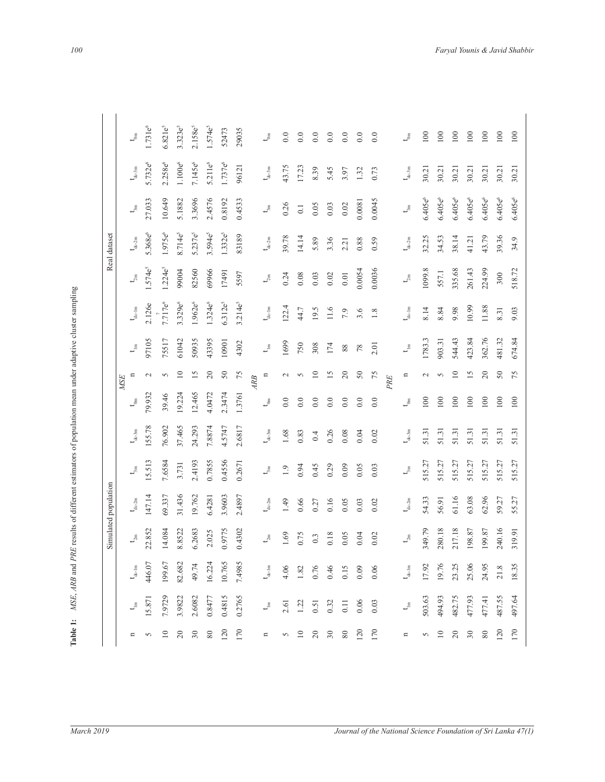| i                                                          |
|------------------------------------------------------------|
|                                                            |
| $\frac{1}{2}$                                              |
|                                                            |
|                                                            |
|                                                            |
| i<br>i<br>֧֢֧֢ׅ֧ׅ֧֖֧ׅ֧ׅ֧ׅ֧ׅ֧ׅ֧ׅ֧ׅ֧֚֚֚֚֚֡֟֓֜֓֝֜֜֓֜֓֜֓֜֓֜֓֜֓ |
|                                                            |
| こうこう うらく うらま きょくこうじょうくう しょくしょく                             |
|                                                            |
|                                                            |
|                                                            |
|                                                            |
|                                                            |
|                                                            |
|                                                            |
|                                                            |
|                                                            |
| ï                                                          |
|                                                            |
|                                                            |
|                                                            |
|                                                            |
|                                                            |
|                                                            |
|                                                            |
|                                                            |
| ï                                                          |
|                                                            |
|                                                            |
|                                                            |
| l,                                                         |
| I<br>ļ                                                     |
| 7                                                          |
| $\ddot{\phantom{a}}$                                       |
|                                                            |
| $\frac{1}{2}$<br>$\overline{a}$                            |
|                                                            |
| ASE<br>H                                                   |
|                                                            |
|                                                            |
| į.                                                         |
|                                                            |

|                      | $t_{\rm om}$                | $1.731e^{6}$        | $6.821e^{5}$ | $3.323e^{5}$        | $2.158e^{5}$ | $1.574e^{5}$        | 52473            | 29035        |     | $\mathbf{t}_{\text{eff}}$     | $0.0\,$ | 0.0              | $0.0\,$ | 0.0    | 0.0            | $0.0\,$                                             | 0.0    |     | $t_{\rm om}$                  | 100          | 100        | 100             | 100        | $100\,$      | 100                 |
|----------------------|-----------------------------|---------------------|--------------|---------------------|--------------|---------------------|------------------|--------------|-----|-------------------------------|---------|------------------|---------|--------|----------------|-----------------------------------------------------|--------|-----|-------------------------------|--------------|------------|-----------------|------------|--------------|---------------------|
|                      | $\mathbf{t}_{\text{de-3m}}$ | 5.732e <sup>6</sup> | $2.258e^{6}$ | $1.100e^6$          | $7.145e^{6}$ | 5.211e <sup>6</sup> | $1.737e^{6}$     | 96121        |     | $t_{\rm de\text{-}3m}$        | 43.75   | 17.23            | 8.39    | 5.45   | 3.97           | 1.32                                                | 0.73   |     | $t_{\rm de\text{-}3m}$        | 30.21        | 30.21      | 30.21           | 30.21      | 30.21        | 30.21               |
|                      | $t_{\rm sm}$                | 27.033              | 10.649       | 5.1882              | 3.3696       | 2.4576              | 0.8192           | 0.4533       |     | $t_{\rm sm}$                  | 0.26    | $\overline{0}$ . | 0.05    | 0.03   | 0.02           | 0.0081                                              | 0.0045 |     | $t_{\rm sm}$                  | $6.405e^{6}$ | $6.405e^6$ | $6.405e^6$      | $6.405e^6$ | $6.405e^{6}$ | 6.405e <sup>6</sup> |
| Real dataset         | $t_{\rm de\hbox{-}2m}$      | 5.368e <sup>6</sup> | $1.975e^{6}$ | 8.714e <sup>5</sup> | $5.237e^{5}$ | $3.594e^{5}$        | $1.332e^{5}$     | 83189        |     | $t_{\rm de\text{-}2m}$        | 39.78   | 14.14            | 5.89    | 3.36   | 2.21           | 0.88                                                | 0.59   |     | $t_{\rm de\text{-}2m}$        | 32.25        | 34.53      | 38.14           | 41.21      | 43.79        | 39.36               |
|                      | $t_{2m}$                    | .574e <sup>5</sup>  | $1.224e^{5}$ | 99004               | 82560        | 69966               | 17491            | 5597         |     | $t_{2m}$                      | 0.24    | 0.08             | 0.03    | 0.02   | $0.01$         | 0.0054                                              | 0.0036 |     | $t_{\rm 2m}$                  | 1099.8       | 557.1      | 335.68          | 261.43     | 224.99       | 300                 |
|                      | $t_{\rm de\,Im}$            | 2.126e              | $7.717e^{6}$ | 3.329e <sup>6</sup> | $1.962e^{6}$ | $1.324e^{6}$        | $6.312e^{5}$     | $3.214e^{5}$ |     | $t_{\rm de\,Im}$              | 122.4   | 44.7             | 19.5    | $11.6$ | 7.9            | 3.6                                                 | 1.8    |     | $t_{\rm de\text{-}1m}$        | 8.14         | 8.84       | 9.98            | 10.99      | $11.88\,$    | 8.31                |
|                      | $t_{\rm lm}$                | 97105               | 75517        | 61042               | 50935        | 43395               | 10901            | 4302         |     | $t_{\text{m}}$                | 1699    | 750              | 308     | 174    | $88\,$         | $78$                                                | 2.01   |     | $t_{\rm lm}$                  | 1783.3       | 903.31     | 544.43          | 423.84     | 362.76       | 481.32              |
|                      | $\Xi$<br><b>MSE</b>         | $\sim$              | 5            | $\overline{10}$     | 15           | $\Omega$            | $50\,$           | 75           | ARB | $\Xi$                         | $\sim$  | $\sim$           | 10      | 15     | $\overline{c}$ | $50\,$                                              | 75     | PRE | $\mathbf{u}$                  | $\sim$       | $\sim$     | $\overline{10}$ | 15         | $\Omega$     | $50\,$              |
|                      | $\mathbf{t}^{\mathrm{g}}$   | 79.932              | 39.46        | 19.224              | 12.465       | 4.0472              | 2.3474           | 1.3761       |     | $t_{\rm om}$                  | $0.0\,$ | 0.0              | 0.0     | 0.0    | 0.0            | $0.0\,$                                             | 0.0    |     | $t_{\rm om}$                  | 100          | 100        | 100             | 100        | 100          | $100\,$             |
|                      | $t_{\rm de\text{-}3m}$      | 155.78              | 76.902       | 37.465              | 24.293       | 7.8874              | 4.5747           | 2.6817       |     | $t_{\rm de\text{-}3m}$        | 1.68    | 0.83             | 0.4     | 0.26   | 0.08           | 0.04                                                | 0.02   |     | $t_{\rm de\text{-}3m}$        | 51.31        | 51.31      | 51.31           | 51.31      | 51.31        | 51.31               |
|                      | $t_{\rm sm}$                | 5.513               | 7.6584       | 3.731               | 2.4193       | 0.7855              | 0.4556           | 0.2671       |     | $t_{\rm sm}$                  | 1.9     | 0.94             | 0.45    | 0.29   | 0.09           | 0.05                                                | 0.03   |     | $t_{\rm sm}$                  | 515.27       | 515.27     | 515.27          | 515.27     | 515.27       | 515.27              |
| Simulated population | $t_{\rm de\text{-}2m}$      | 147.14              | 69.337       | 31.436              | 19.762       | 6.4281              | 3.9603           | 2.4897       |     | $\mathbf{t}_{\mathrm{de-2m}}$ | 1.49    | 0.66             | 0.27    | 0.16   | 0.05           | 0.03                                                | 0.02   |     | $t_{\rm de\text{-}2m}$        | 54.33        | 56.91      | 61.16           | 63.08      | 62.96        | 59.27               |
|                      | $t_{2m}$                    | 22.852              | 14.084       | 8.8522              | 6.2683       | 2.025               | 0.9775           | 0.4302       |     | $t_{2m}$                      | 1.69    | 0.75             | 0.3     | 0.18   | 0.05           | 0.04                                                | 0.02   |     | $t_{2m}$                      | 349.79       | 280.18     | 217.18          | 198.87     | 199.87       | 240.16              |
|                      | $\mathbf{t}_{\text{de-lm}}$ | 446.07              | 199.67       | 82.682              | 49.74        | 16.224              | 10.765           | 7.4985       |     | $\mathbf{t}_{\text{de-lm}}$   | 4.06    | 1.82             | 0.76    | 0.46   | 0.15           | 0.09                                                | 0.06   |     | $\mathbf{t}_{\mathrm{de-lm}}$ | 17.92        | 19.76      | 23.25           | 25.06      | 24.95        | 21.8                |
|                      | $t_{\rm lm}$                | 15.871              | 7.9729       | 3.9822              | 2.6082       | 0.8477              | 0.4815           | 0.2765       |     | $t_{\rm lm}$                  |         | $2.61$<br>1.22   | 0.51    | 0.32   |                | $\begin{array}{c} 0.11 \\ 0.06 \\ 0.03 \end{array}$ |        |     | $t_{\rm lm}$                  | 503.63       | 494.93     | 482.75          | 477.93     | 477.41       | 487.55              |
|                      | $\mathbf n$                 | $\sim$              | $10$         | $20\,$              | $30\,$       |                     | $\frac{80}{120}$ |              |     | $\Xi$                         |         |                  | $20\,$  | $30\,$ |                | $\frac{80}{120}$                                    |        |     | $\Xi$                         |              | 500        |                 | $30\,$     | $\rm 80$     | $120\,$             |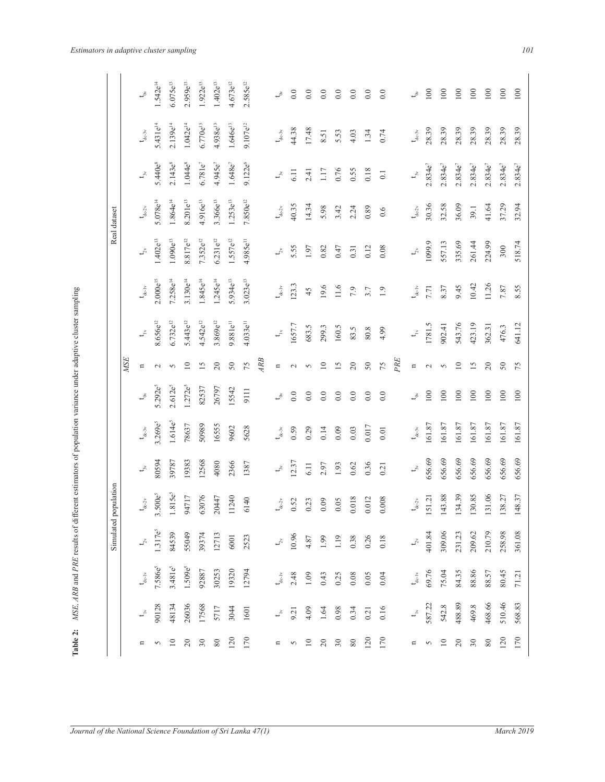|                    | ļ<br>ĺ                         |
|--------------------|--------------------------------|
|                    |                                |
|                    | ֖֖֢ׅׅׅ֪ׅ֚֚֚֚֚֚֚֚֡֝֝֬֝֬֝֬֝<br>l |
|                    | į                              |
|                    |                                |
|                    |                                |
|                    |                                |
|                    | l<br>١                         |
|                    | ı                              |
|                    |                                |
|                    |                                |
|                    |                                |
|                    |                                |
|                    |                                |
|                    |                                |
|                    | i                              |
|                    |                                |
|                    |                                |
|                    |                                |
| $\frac{1}{1}$<br>ļ |                                |
|                    | ĺ                              |
| $\frac{1}{2}$      |                                |
|                    | i<br>ij                        |
| ŗ                  | µ<br>גע                        |
|                    | $\overline{\phantom{a}}$       |
|                    | le 2:                          |
|                    |                                |

|                           |            | $t_{\rm o}$                   | $1.542e^{14}$         | $6.075e^{13}$      | $2.959e^{13}$ | $1.922e^{13}$ | $1.402e^{13}$ | $4.673e^{12}$        | $2.585e^{12}$       |    | $\mathfrak{t}_\infty$         | $0.0\,$ | $0.0\,$         | $0.0\,$         | 0.0      | $0.0\,$  | $0.0\,$ | 0.0              |     | $\zeta$                              | 100          | 100          | $100\,$      | 100          | 100          | 100   |
|---------------------------|------------|-------------------------------|-----------------------|--------------------|---------------|---------------|---------------|----------------------|---------------------|----|-------------------------------|---------|-----------------|-----------------|----------|----------|---------|------------------|-----|--------------------------------------|--------------|--------------|--------------|--------------|--------------|-------|
|                           |            | $t_{\text{de-3v}}$            | $5.431e^{14}$         | $2.139e^{14}$      | $1.042e^{14}$ | $6.770e^{13}$ | $4.938e^{13}$ | $1.646e^{13}$        | $9.107e^{12}$       |    | $t_{dc-3v}$                   | 44.38   | 17.48           | 8.51            | 5.53     | 4.03     | 1.34    | 0.74             |     | $t_{dc-3v}$                          | 28.39        | 28.39        | 28.39        | 28.39        | 28.39        | 28.39 |
|                           |            | $t_{\rm av}$                  | 5.440e <sup>8</sup>   | $2.143e^{8}$       | $1.044e^{8}$  | $6.781e^{7}$  | $4.945e^{7}$  | $1.648e^{7}$         | 9.122e <sup>6</sup> |    | $t_{\rm av}$                  | 6.11    | 2.41            | 1.17            | 0.76     | 0.55     | 0.18    | $\overline{0.1}$ |     | $t_{\rm av}$                         | $2.834e^{7}$ | $2.834e^{7}$ | $2.834e^{7}$ | $2.834e^{7}$ | $2.834e^{7}$ |       |
| Real dataset              |            | $\mathbf{t}_{\mathrm{de-2v}}$ | $5.078e^{14}$         | $1.864e^{14}$      | $8.201e^{13}$ | $4.916e^{13}$ | $3.366e^{13}$ | $1.253e^{13}$        | $7.850e^{12}$       |    | $\mathbf{t}_{\mathrm{dc-2v}}$ | 40.35   | 14.34           | 5.98            | 3.42     | 2.24     | 0.89    | 0.6              |     | $t_{dc\text{-}2v}$                   | 30.36        | 32.58        | 36.09        | 39.1         | 41.64        |       |
|                           |            | $\mathsf{t}_\mathsf{2v}$      | $1.402e^{13}$         | $1.090e^{13}$      | $8.817e^{12}$ | $7.352e^{12}$ | $6.231e^{12}$ | $1.557e^{12}$        | $4.985e^{11}$       |    | $t_{\stackrel{\sim}{\sim}}$   | 5.55    | 1.97            | 0.82            | 0.47     | 0.31     | 0.12    | 0.08             |     | $t_{2x}$                             | 1099.9       | 557.13       | 335.69       | 261.44       | 224.99       |       |
|                           |            | $t_{\rm de\,iv}$              | $2.000e^{15}$         | $7.258e^{14}$      | $3.130e^{14}$ | $1.845e^{14}$ | $1.245e^{14}$ | $5.934e^{13}$        | $3.023e^{13}$       |    | $t_{\rm deiv}$                | 123.3   | 45              | 19.6            | $11.6\,$ | 7.9      | 3.7     | 1.9              |     | $t_{\text{de-1v}}$                   | 7.71         | 8.37         | 9.45         | 10.42        | 11.26        |       |
|                           |            | $\mathbf{t}_{\mathrm{in}}$    | $8.656e^{12}$         | $6.732e^{12}$      | $5.443e^{12}$ | $4.542e^{12}$ | $3.869e^{12}$ | 9.881e <sup>11</sup> | $4.033e^{11}$       |    | $t_{\rm m}$                   | 1657.7  | 683.5           | 299.3           | 160.5    | 83.5     | 80.8    | 4.99             |     | $\overline{t}$                       | 1781.5       | 902.41       | 543.76       | 423.19       | 362.31       |       |
|                           | <b>MSE</b> | $\Xi$                         | $\sim$                | $\sim$             | $\Box$        | 15            | $20\,$        | $50\,$               | 75                  | AB | $\mathbf n$                   | $\sim$  | $\sim$          | $\overline{10}$ | 15       | $20\,$   | $50\,$  | 75               | PRE | $\Xi$                                | $\sim$       | $\sim$       | 10           | 15           | $\Omega$     |       |
|                           |            | $\mathfrak{t}_\infty$         | 5.292e <sup>5</sup>   | $2.612e^{5}$       | $1.272e^{5}$  | 82537         | 26797         | 15542                | 9111                |    | ڴ                             | $0.0\,$ | 0.0             | 0.0             | 0.0      | $0.0\,$  | $0.0\,$ | 0.0              |     | $\mathfrak{t}^*$                     | 100          | 100          | 100          | 100          | 100          |       |
|                           |            | $t_{\rm de\text{-}3v}$        | $3.269e^{5}$          | $1.614e^{5}$       | 78637         | 50989         | 16555         | 9602                 | 5628                |    | $t_{\rm de\text{-}3v}$        | 0.59    | 0.29            | 0.14            | 0.09     | 0.03     | 0.017   | 0.01             |     | $\mathbf{t}_{\mathrm{de-3v}}$        | 161.87       | 161.87       | 161.87       | 161.87       | 161.87       |       |
|                           |            | $t_{\rm av}$                  | 80594                 | 39787              | 19383         | 12568         | 4080          | 2366                 | 1387                |    | $t_{\rm x}$                   | 12.37   | 6.11            | 2.97            | 1.93     | 0.62     | 0.36    | 0.21             |     | $t_{\rm y}$                          | 656.69       | 656.69       | 656.69       | 656.69       | 656.69       |       |
| opulation<br>$\mathbf{p}$ |            | $\mathbf{t}_{\mathrm{dc-2v}}$ | $.500e^{5}$<br>$\sim$ | .815e <sup>5</sup> | 94717         | 63076         | 20447         | 11240                | 6140                |    | $t_{de-2v}$                   | 0.52    | 0.23            | 0.09            | 0.05     | 0.018    | 0.012   | 0.008            |     | $t_{\rm dc-2v}$                      | 51.21        | 143.88       | 34.39        | 30.85        | 31.06        |       |
| Simulated                 |            | $\mathsf{t}_{2^{\mathsf{x}}}$ | $1.317e^{5}$          | 84539              | 55049         | 39374         | 12713         | 6001                 | 2523                |    | $t_{\stackrel{\sim}{\sim}}$   | 10.96   | 4.87            | 1.99            | 1.19     | 0.38     | 0.26    | 0.18             |     | $t_{2v}$                             | 401.84       | 309.06       | 231.23       | 209.62       | 210.79       |       |
|                           |            | $t_{\rm de\text{-}iv}$        | 7.586e <sup>5</sup>   | $3.481e^{5}$       | $1.509e^{5}$  | 92887         | 30253         | 19320                | 12794               |    | $t_{\rm de\,\,iv}$            | 2.48    | 1.09            | 0.43            | 0.25     | $0.08$   | 0.05    | 0.04             |     | $t_{\rm de\,\sc{iv}}$                | 69.76        | 75.04        | 84.35        | 88.86        | 88.57        |       |
|                           |            | $\mathbf{t}_{\mathrm{b}}$     | 90128                 | 48134              | 26036         | 17568         | 5717          | 3044                 | 1601                |    | $\mathfrak{t}^{\times}$       | 9.21    | 4.09            | 1.64            | 0.98     | 0.34     | 0.21    | 0.16             |     | $\mathfrak{t}^{\geq}_{\mathfrak{r}}$ | 587.22       | 542.8        | 488.89       | 469.8        | 468.66       |       |
|                           |            | n                             | $\sim$                | 10                 | 20            | 30            | $80\,$        | 120                  | 170                 |    | $\Xi$                         | $\sim$  | $\overline{10}$ | $\Omega$        | 30       | $\rm 80$ | 120     | 170              |     | $\Xi$                                | $\sim$       | 10           | 20           | 30           | $80\,$       |       |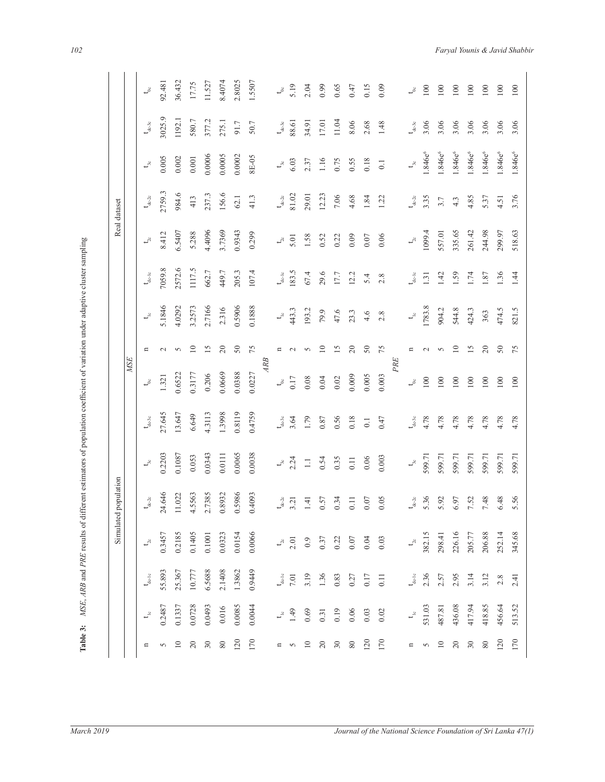|                                       | a said a              |
|---------------------------------------|-----------------------|
|                                       |                       |
|                                       |                       |
|                                       |                       |
| š                                     |                       |
|                                       |                       |
|                                       |                       |
|                                       |                       |
|                                       |                       |
|                                       | $\ddot{\phantom{a}}$  |
|                                       |                       |
|                                       |                       |
|                                       |                       |
|                                       |                       |
|                                       |                       |
|                                       |                       |
|                                       |                       |
|                                       |                       |
|                                       |                       |
|                                       |                       |
|                                       |                       |
|                                       |                       |
|                                       |                       |
|                                       |                       |
|                                       | .<br>.<br>.<br>.<br>. |
|                                       |                       |
|                                       |                       |
|                                       |                       |
|                                       |                       |
|                                       |                       |
|                                       |                       |
|                                       |                       |
|                                       |                       |
|                                       |                       |
|                                       |                       |
|                                       |                       |
|                                       |                       |
| $\frac{1}{1}$                         | l                     |
|                                       |                       |
|                                       |                       |
|                                       |                       |
|                                       |                       |
| $\frac{1}{2}$                         |                       |
|                                       |                       |
|                                       |                       |
| $\begin{array}{c} \hline \end{array}$ |                       |
|                                       |                       |
|                                       |                       |
|                                       |                       |
|                                       |                       |
| ť                                     | כ                     |
|                                       | ś                     |
| l                                     |                       |

|                      |            | $\mathfrak{t}^8$              | 92.481 | 36.432          | 17.75           | 11.527 | 8.4074   | 2.8025 | 1.5507 |    | $t^8$                         | 5.19   | 2.04   | 0.99            | 0.65  | 0.47     | 0.15             | 0.09           |     | చ్ర                         | 100                | 100                 | 100                 | 100                      | 100                 | 100                 |
|----------------------|------------|-------------------------------|--------|-----------------|-----------------|--------|----------|--------|--------|----|-------------------------------|--------|--------|-----------------|-------|----------|------------------|----------------|-----|-----------------------------|--------------------|---------------------|---------------------|--------------------------|---------------------|---------------------|
|                      |            | $\mathbf{t}_{\mathrm{dc-3c}}$ | 3025.9 | 1192.1          | 580.7           | 377.2  | 275.1    | 91.7   | 50.7   |    | $t_{\rm dc-3c}$               | 88.61  | 34.91  | 17.01           | 11.04 | 8.06     | 2.68             | 1.48           |     | $t_{\text{de-3c}}$          | 3.06               | 3.06                | 3.06                | 3.06                     | 3.06                | 3.06                |
|                      |            | $t_{3c}$                      | 0.005  | 0.002           | $0.001\,$       | 0.0006 | 0.0005   | 0.0002 | 8E-05  |    | $t_{\rm 3c}$                  | 6.03   | 2.37   | 1.16            | 0.75  | 0.55     | 0.18             | $\overline{0}$ |     | $t_{\rm ac}$                | .846e <sup>6</sup> | 1.846e <sup>6</sup> | 1.846e <sup>6</sup> | 1.846e <sup>6</sup>      | 1.846e <sup>6</sup> | 1.846e <sup>6</sup> |
| Real dataset         |            | $t_{\rm dc-2c}$               | 2759.3 | 984.6           | 413             | 237.3  | 156.6    | 62.1   | 41.3   |    | $\mathbf{t}_{\mathrm{dc-2c}}$ | 81.02  | 29.01  | 12.23           | 7.06  | 4.68     | 1.84             | 1.22           |     | $t_{\text{dc-2c}}$          | 3.35               | 3.7                 | 4.3                 | 4.85                     | 5.37                | 4.51                |
|                      |            | $t_{2c}$                      | 8.412  | 6.5407          | 5.288           | 4.4096 | 3.7369   | 0.9343 | 0.299  |    | $t_{2c}$                      | 5.01   | 1.58   | 0.52            | 0.22  | 0.09     | 0.07             | 0.06           |     | $L^2$                       | 1099.4             | 557.01              | 335.65              | 261.42                   | 244.98              | 299.97              |
|                      |            | $t_{\rm de\,\sc{1}c}$         | 7059.8 | 2572.6          | 1117.5          | 662.7  | 449.7    | 205.3  | 107.4  |    | $\mathbf{t}_{\text{de-1c}}$   | 183.5  | 67.4   | 29.6            | 17.7  | 12.2     | 5.4              | 2.8            |     | $\mathbf{t}_{\text{de-1c}}$ | 1.31               | 1.42                | .59                 | 1.74                     | 1.87                | 1.36                |
|                      |            | $t_{\rm e}$                   | 5.1846 | 4.0292          | 3.2573          | 2.7166 | 2.316    | 0.5906 | 0.1888 |    | $t_{\rm lc}$                  | 443.3  | 193.2  | 79.9            | 47.6  | 23.3     | 4.6              | 2.8            |     | $\downarrow^{\circ}$        | 1783.8             | 904.2               | 544.8               | 424.3                    | 363                 | 474.5               |
|                      |            | n                             | $\sim$ | $\sim$          | $\overline{10}$ | 15     | 20       | 50     | 75     |    | n                             | $\sim$ | $\sim$ | $\overline{10}$ | 15    | 20       | $50\,$           | 75             |     | n                           | $\sim$             | $\sim$              | $\supseteq$         | $\overline{15}$          | 20                  | 50                  |
|                      | <b>MSE</b> | $t^{\circ}_{\circ}$           | 1.321  | 0.6522          | 0.3177          | 0.206  | 0.0669   | 0.0388 | 0.0227 | AB | $t^{\circ}$                   | 0.17   | 0.08   | 0.04            | 0.02  | 0.009    | 0.005            | 0.003          | PRE | $t_{\rm oc}$                | 100                | 100                 | 100                 | 100                      | $100\,$             | 100                 |
|                      |            | $t_{\rm de\text{-}3c}$        | 27.645 | 13.647          | 6.649           | 4.3113 | 1.3998   | 0.8119 | 0.4759 |    | $\mathbf{t}_{\text{de-3c}}$   | 3.64   | 1.79   | 0.87            | 0.56  | 0.18     | $\overline{0}$ . | 0.47           |     | $t_{\text{de-3c}}$          | 4.78               | 4.78                | 4.78                | 4.78                     | 4.78                | 4.78                |
|                      |            | $t_{3c}$                      | 0.2203 | 0.1087          | 0.053           | 0.0343 | 0.0111   | 0.0065 | 0.0038 |    | $t_{3c}$                      | 2.24   | $\Box$ | 0.54            | 0.35  | 0.11     | 0.06             | 0.003          |     | $t_{\rm sc}$                | 599.71             | 599.71              | 599.71              | 599.71                   | 599.71              | 599.71              |
| Simulated population |            | $t_{\rm dc2c}$                | 24.646 | 11.022          | 4.5563          | 2.7385 | 0.8932   | 0.5986 | 0.4093 |    | $t_{\text{de-2c}}$            | 3.21   | 1.41   | 0.57            | 0.34  | 0.11     | 0.07             | 0.05           |     | $t_{\rm dc\text{-}2c}$      | 5.36               | 5.92                | 6.97                | 7.52                     | 7.48                | 6.48                |
|                      |            | $t_{2c}$                      | 0.3457 | 0.2185          | 0.1405          | 0.1001 | 0.0323   | 0.0154 | 0.0066 |    | $t_{2c}$                      | 2.01   | 0.9    | 0.37            | 0.22  | 0.07     | 0.04             | 0.03           |     | $t_{28}$                    | 382.15             | 298.41              | 226.16              | 205.77                   | 206.88              | 252.14              |
|                      |            | $t_{\rm de\,lo}$              | 55.893 | 25.367          | 10.777          | 6.5688 | 2.1408   | 1.3862 | 0.9449 |    | $t_{\rm de-1c}$               | 7.01   | 3.19   | 1.36            | 0.83  | 0.27     | 0.17             | 0.11           |     | $t_{\rm de~lc}$             | 2.36               | 2.57                | 2.95                | 3.14                     | 3.12                | $2.8$               |
|                      |            | $t^{\circ}$                   | 0.2487 | 0.1337          | 0.0728          | 0.0493 | 0.016    | 0.0085 | 0.0044 |    | $t_{\rm lc}$                  | 1.49   | 0.69   | 0.31            | 0.19  | 0.06     | 0.03             | 0.02           |     | $t^{\circ}$                 | 531.03             | 487.81              | 436.08              | 417.94                   | 418.85              | 456.64              |
|                      |            | $\mathbf n$                   | 5      | $\overline{10}$ | $\overline{20}$ | 30     | $\rm 80$ | 120    | 170    |    | $\mathbf{u}$                  | 5      | $10$   | $20$            | 30    | $\rm 80$ | 120              | 170            |     | $\mathbf{u}$                | $\sim$             | $\overline{10}$     | $20$                | $\overline{\mathbf{30}}$ | $\rm 80$            | 120                 |